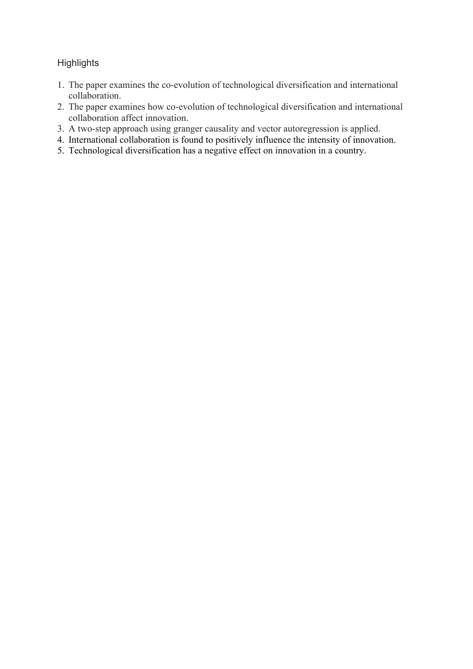# **Highlights**

- 1. The paper examines the co-evolution of technological diversification and international collaboration.
- 2. The paper examines how co-evolution of technological diversification and international collaboration affect innovation.
- 3. A two-step approach using granger causality and vector autoregression is applied.
- 4. International collaboration is found to positively influence the intensity of innovation.
- 5. Technological diversification has a negative effect on innovation in a country.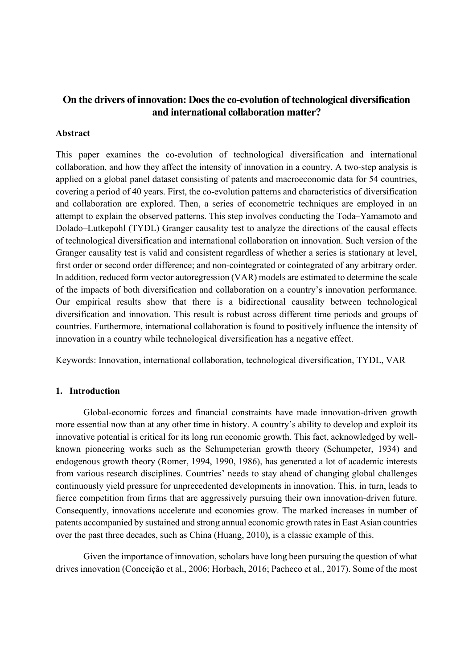# **On the drivers of innovation: Does the co-evolution of technological diversification and international collaboration matter?**

# **Abstract**

This paper examines the co-evolution of technological diversification and international collaboration, and how they affect the intensity of innovation in a country. A two-step analysis is applied on a global panel dataset consisting of patents and macroeconomic data for 54 countries, covering a period of 40 years. First, the co-evolution patterns and characteristics of diversification and collaboration are explored. Then, a series of econometric techniques are employed in an attempt to explain the observed patterns. This step involves conducting the Toda–Yamamoto and Dolado–Lutkepohl (TYDL) Granger causality test to analyze the directions of the causal effects of technological diversification and international collaboration on innovation. Such version of the Granger causality test is valid and consistent regardless of whether a series is stationary at level, first order or second order difference; and non-cointegrated or cointegrated of any arbitrary order. In addition, reduced form vector autoregression (VAR) models are estimated to determine the scale of the impacts of both diversification and collaboration on a country's innovation performance. Our empirical results show that there is a bidirectional causality between technological diversification and innovation. This result is robust across different time periods and groups of countries. Furthermore, international collaboration is found to positively influence the intensity of innovation in a country while technological diversification has a negative effect.

Keywords: Innovation, international collaboration, technological diversification, TYDL, VAR

# **1. Introduction**

Global-economic forces and financial constraints have made innovation-driven growth more essential now than at any other time in history. A country's ability to develop and exploit its innovative potential is critical for its long run economic growth. This fact, acknowledged by wellknown pioneering works such as the Schumpeterian growth theory (Schumpeter, 1934) and endogenous growth theory (Romer, 1994, 1990, 1986), has generated a lot of academic interests from various research disciplines. Countries' needs to stay ahead of changing global challenges continuously yield pressure for unprecedented developments in innovation. This, in turn, leads to fierce competition from firms that are aggressively pursuing their own innovation-driven future. Consequently, innovations accelerate and economies grow. The marked increases in number of patents accompanied by sustained and strong annual economic growth rates in East Asian countries over the past three decades, such as China (Huang, 2010), is a classic example of this.

Given the importance of innovation, scholars have long been pursuing the question of what drives innovation (Conceição et al., 2006; Horbach, 2016; Pacheco et al., 2017). Some of the most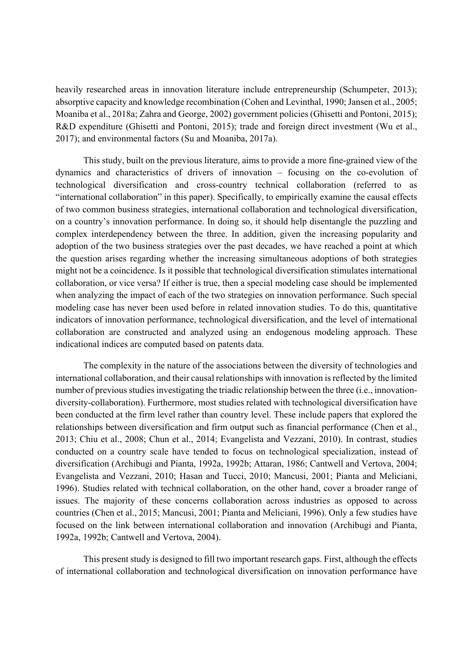heavily researched areas in innovation literature include entrepreneurship (Schumpeter, 2013); absorptive capacity and knowledge recombination (Cohen and Levinthal, 1990; Jansen et al., 2005; Moaniba et al., 2018a; Zahra and George, 2002) government policies (Ghisetti and Pontoni, 2015); R&D expenditure (Ghisetti and Pontoni, 2015); trade and foreign direct investment (Wu et al., 2017); and environmental factors (Su and Moaniba, 2017a).

This study, built on the previous literature, aims to provide a more fine-grained view of the dynamics and characteristics of drivers of innovation – focusing on the co-evolution of technological diversification and cross-country technical collaboration (referred to as "international collaboration" in this paper). Specifically, to empirically examine the causal effects of two common business strategies, international collaboration and technological diversification, on a country's innovation performance. In doing so, it should help disentangle the puzzling and complex interdependency between the three. In addition, given the increasing popularity and adoption of the two business strategies over the past decades, we have reached a point at which the question arises regarding whether the increasing simultaneous adoptions of both strategies might not be a coincidence. Is it possible that technological diversification stimulates international collaboration, or vice versa? If either is true, then a special modeling case should be implemented when analyzing the impact of each of the two strategies on innovation performance. Such special modeling case has never been used before in related innovation studies. To do this, quantitative indicators of innovation performance, technological diversification, and the level of international collaboration are constructed and analyzed using an endogenous modeling approach. These indicational indices are computed based on patents data.

The complexity in the nature of the associations between the diversity of technologies and international collaboration, and their causal relationships with innovation is reflected by the limited number of previous studies investigating the triadic relationship between the three (i.e., innovationdiversity-collaboration). Furthermore, most studies related with technological diversification have been conducted at the firm level rather than country level. These include papers that explored the relationships between diversification and firm output such as financial performance (Chen et al., 2013; Chiu et al., 2008; Chun et al., 2014; Evangelista and Vezzani, 2010). In contrast, studies conducted on a country scale have tended to focus on technological specialization, instead of diversification (Archibugi and Pianta, 1992a, 1992b; Attaran, 1986; Cantwell and Vertova, 2004; Evangelista and Vezzani, 2010; Hasan and Tucci, 2010; Mancusi, 2001; Pianta and Meliciani, 1996). Studies related with technical collaboration, on the other hand, cover a broader range of issues. The majority of these concerns collaboration across industries as opposed to across countries (Chen et al., 2015; Mancusi, 2001; Pianta and Meliciani, 1996). Only a few studies have focused on the link between international collaboration and innovation (Archibugi and Pianta, 1992a, 1992b; Cantwell and Vertova, 2004).

This present study is designed to fill two important research gaps. First, although the effects of international collaboration and technological diversification on innovation performance have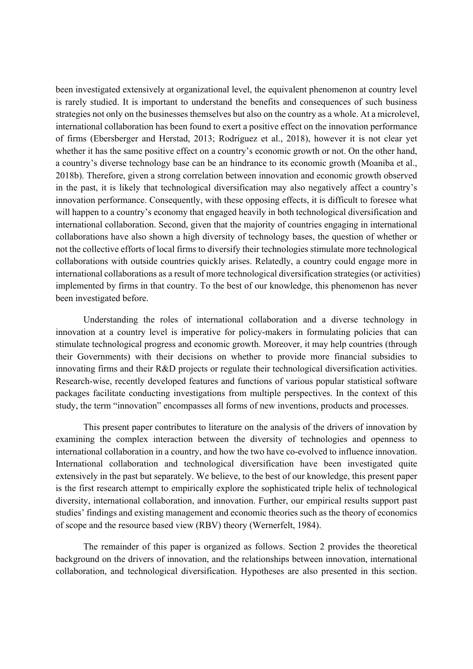been investigated extensively at organizational level, the equivalent phenomenon at country level is rarely studied. It is important to understand the benefits and consequences of such business strategies not only on the businesses themselves but also on the country as a whole. At a microlevel, international collaboration has been found to exert a positive effect on the innovation performance of firms (Ebersberger and Herstad, 2013; Rodríguez et al., 2018), however it is not clear yet whether it has the same positive effect on a country's economic growth or not. On the other hand, a country's diverse technology base can be an hindrance to its economic growth (Moaniba et al., 2018b). Therefore, given a strong correlation between innovation and economic growth observed in the past, it is likely that technological diversification may also negatively affect a country's innovation performance. Consequently, with these opposing effects, it is difficult to foresee what will happen to a country's economy that engaged heavily in both technological diversification and international collaboration. Second, given that the majority of countries engaging in international collaborations have also shown a high diversity of technology bases, the question of whether or not the collective efforts of local firms to diversify their technologies stimulate more technological collaborations with outside countries quickly arises. Relatedly, a country could engage more in international collaborations as a result of more technological diversification strategies (or activities) implemented by firms in that country. To the best of our knowledge, this phenomenon has never been investigated before.

Understanding the roles of international collaboration and a diverse technology in innovation at a country level is imperative for policy-makers in formulating policies that can stimulate technological progress and economic growth. Moreover, it may help countries (through their Governments) with their decisions on whether to provide more financial subsidies to innovating firms and their R&D projects or regulate their technological diversification activities. Research-wise, recently developed features and functions of various popular statistical software packages facilitate conducting investigations from multiple perspectives. In the context of this study, the term "innovation" encompasses all forms of new inventions, products and processes.

This present paper contributes to literature on the analysis of the drivers of innovation by examining the complex interaction between the diversity of technologies and openness to international collaboration in a country, and how the two have co-evolved to influence innovation. International collaboration and technological diversification have been investigated quite extensively in the past but separately. We believe, to the best of our knowledge, this present paper is the first research attempt to empirically explore the sophisticated triple helix of technological diversity, international collaboration, and innovation. Further, our empirical results support past studies' findings and existing management and economic theories such as the theory of economics of scope and the resource based view (RBV) theory (Wernerfelt, 1984).

The remainder of this paper is organized as follows. Section 2 provides the theoretical background on the drivers of innovation, and the relationships between innovation, international collaboration, and technological diversification. Hypotheses are also presented in this section.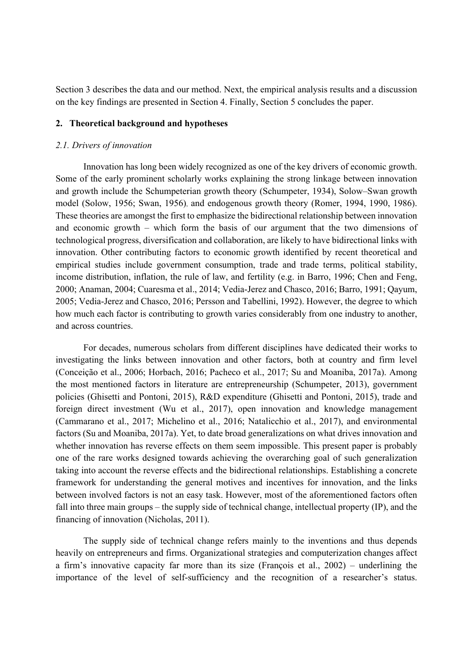Section 3 describes the data and our method. Next, the empirical analysis results and a discussion on the key findings are presented in Section 4. Finally, Section 5 concludes the paper.

### **2. Theoretical background and hypotheses**

### *2.1. Drivers of innovation*

Innovation has long been widely recognized as one of the key drivers of economic growth. Some of the early prominent scholarly works explaining the strong linkage between innovation and growth include the Schumpeterian growth theory (Schumpeter, 1934), Solow–Swan growth model (Solow, 1956; Swan, 1956), and endogenous growth theory (Romer, 1994, 1990, 1986). These theories are amongst the first to emphasize the bidirectional relationship between innovation and economic growth – which form the basis of our argument that the two dimensions of technological progress, diversification and collaboration, are likely to have bidirectional links with innovation. Other contributing factors to economic growth identified by recent theoretical and empirical studies include government consumption, trade and trade terms, political stability, income distribution, inflation, the rule of law, and fertility (e.g. in Barro, 1996; Chen and Feng, 2000; Anaman, 2004; Cuaresma et al., 2014; Vedia-Jerez and Chasco, 2016; Barro, 1991; Qayum, 2005; Vedia-Jerez and Chasco, 2016; Persson and Tabellini, 1992). However, the degree to which how much each factor is contributing to growth varies considerably from one industry to another, and across countries.

For decades, numerous scholars from different disciplines have dedicated their works to investigating the links between innovation and other factors, both at country and firm level (Conceição et al., 2006; Horbach, 2016; Pacheco et al., 2017; Su and Moaniba, 2017a). Among the most mentioned factors in literature are entrepreneurship (Schumpeter, 2013), government policies (Ghisetti and Pontoni, 2015), R&D expenditure (Ghisetti and Pontoni, 2015), trade and foreign direct investment (Wu et al., 2017), open innovation and knowledge management (Cammarano et al., 2017; Michelino et al., 2016; Natalicchio et al., 2017), and environmental factors (Su and Moaniba, 2017a). Yet, to date broad generalizations on what drives innovation and whether innovation has reverse effects on them seem impossible. This present paper is probably one of the rare works designed towards achieving the overarching goal of such generalization taking into account the reverse effects and the bidirectional relationships. Establishing a concrete framework for understanding the general motives and incentives for innovation, and the links between involved factors is not an easy task. However, most of the aforementioned factors often fall into three main groups – the supply side of technical change, intellectual property (IP), and the financing of innovation (Nicholas, 2011).

The supply side of technical change refers mainly to the inventions and thus depends heavily on entrepreneurs and firms. Organizational strategies and computerization changes affect a firm's innovative capacity far more than its size (François et al., 2002) – underlining the importance of the level of self-sufficiency and the recognition of a researcher's status.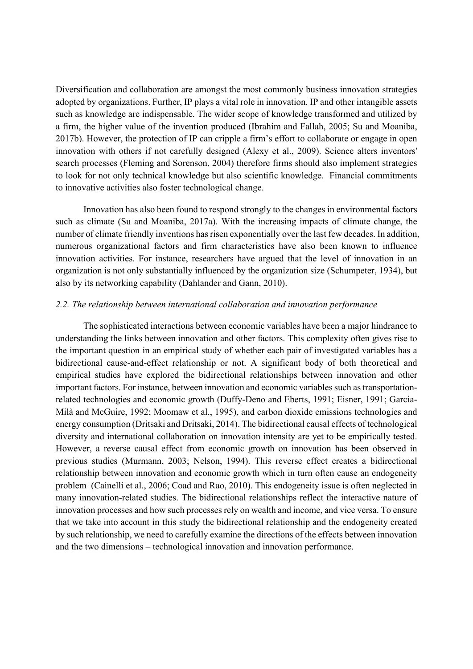Diversification and collaboration are amongst the most commonly business innovation strategies adopted by organizations. Further, IP plays a vital role in innovation. IP and other intangible assets such as knowledge are indispensable. The wider scope of knowledge transformed and utilized by a firm, the higher value of the invention produced (Ibrahim and Fallah, 2005; Su and Moaniba, 2017b). However, the protection of IP can cripple a firm's effort to collaborate or engage in open innovation with others if not carefully designed (Alexy et al., 2009). Science alters inventors' search processes (Fleming and Sorenson, 2004) therefore firms should also implement strategies to look for not only technical knowledge but also scientific knowledge. Financial commitments to innovative activities also foster technological change.

Innovation has also been found to respond strongly to the changes in environmental factors such as climate (Su and Moaniba, 2017a). With the increasing impacts of climate change, the number of climate friendly inventions has risen exponentially over the last few decades. In addition, numerous organizational factors and firm characteristics have also been known to influence innovation activities. For instance, researchers have argued that the level of innovation in an organization is not only substantially influenced by the organization size (Schumpeter, 1934), but also by its networking capability (Dahlander and Gann, 2010).

# *2.2. The relationship between international collaboration and innovation performance*

The sophisticated interactions between economic variables have been a major hindrance to understanding the links between innovation and other factors. This complexity often gives rise to the important question in an empirical study of whether each pair of investigated variables has a bidirectional cause-and-effect relationship or not. A significant body of both theoretical and empirical studies have explored the bidirectional relationships between innovation and other important factors. For instance, between innovation and economic variables such as transportationrelated technologies and economic growth (Duffy-Deno and Eberts, 1991; Eisner, 1991; Garcia-Milà and McGuire, 1992; Moomaw et al., 1995), and carbon dioxide emissions technologies and energy consumption (Dritsaki and Dritsaki, 2014). The bidirectional causal effects of technological diversity and international collaboration on innovation intensity are yet to be empirically tested. However, a reverse causal effect from economic growth on innovation has been observed in previous studies (Murmann, 2003; Nelson, 1994). This reverse effect creates a bidirectional relationship between innovation and economic growth which in turn often cause an endogeneity problem (Cainelli et al., 2006; Coad and Rao, 2010). This endogeneity issue is often neglected in many innovation-related studies. The bidirectional relationships reflect the interactive nature of innovation processes and how such processes rely on wealth and income, and vice versa. To ensure that we take into account in this study the bidirectional relationship and the endogeneity created by such relationship, we need to carefully examine the directions of the effects between innovation and the two dimensions – technological innovation and innovation performance.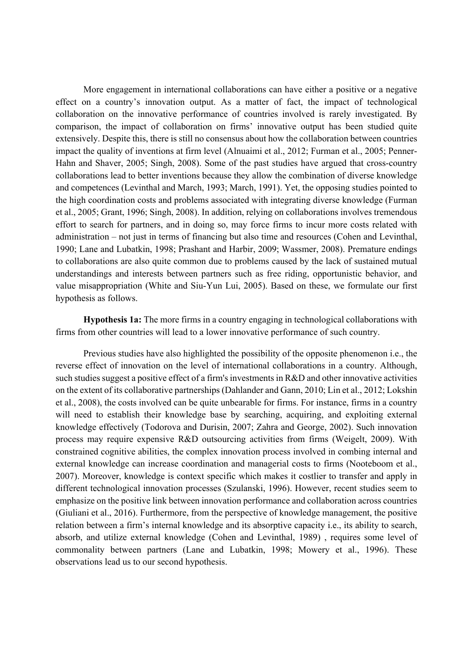More engagement in international collaborations can have either a positive or a negative effect on a country's innovation output. As a matter of fact, the impact of technological collaboration on the innovative performance of countries involved is rarely investigated. By comparison, the impact of collaboration on firms' innovative output has been studied quite extensively. Despite this, there is still no consensus about how the collaboration between countries impact the quality of inventions at firm level (Alnuaimi et al., 2012; Furman et al., 2005; Penner-Hahn and Shaver, 2005; Singh, 2008). Some of the past studies have argued that cross-country collaborations lead to better inventions because they allow the combination of diverse knowledge and competences (Levinthal and March, 1993; March, 1991). Yet, the opposing studies pointed to the high coordination costs and problems associated with integrating diverse knowledge (Furman et al., 2005; Grant, 1996; Singh, 2008). In addition, relying on collaborations involves tremendous effort to search for partners, and in doing so, may force firms to incur more costs related with administration – not just in terms of financing but also time and resources (Cohen and Levinthal, 1990; Lane and Lubatkin, 1998; Prashant and Harbir, 2009; Wassmer, 2008). Premature endings to collaborations are also quite common due to problems caused by the lack of sustained mutual understandings and interests between partners such as free riding, opportunistic behavior, and value misappropriation (White and Siu-Yun Lui, 2005). Based on these, we formulate our first hypothesis as follows.

**Hypothesis 1a:** The more firms in a country engaging in technological collaborations with firms from other countries will lead to a lower innovative performance of such country.

Previous studies have also highlighted the possibility of the opposite phenomenon i.e., the reverse effect of innovation on the level of international collaborations in a country. Although, such studies suggest a positive effect of a firm's investments in R&D and other innovative activities on the extent of its collaborative partnerships (Dahlander and Gann, 2010; Lin et al., 2012; Lokshin et al., 2008), the costs involved can be quite unbearable for firms. For instance, firms in a country will need to establish their knowledge base by searching, acquiring, and exploiting external knowledge effectively (Todorova and Durisin, 2007; Zahra and George, 2002). Such innovation process may require expensive R&D outsourcing activities from firms (Weigelt, 2009). With constrained cognitive abilities, the complex innovation process involved in combing internal and external knowledge can increase coordination and managerial costs to firms (Nooteboom et al., 2007). Moreover, knowledge is context specific which makes it costlier to transfer and apply in different technological innovation processes (Szulanski, 1996). However, recent studies seem to emphasize on the positive link between innovation performance and collaboration across countries (Giuliani et al., 2016). Furthermore, from the perspective of knowledge management, the positive relation between a firm's internal knowledge and its absorptive capacity i.e., its ability to search, absorb, and utilize external knowledge (Cohen and Levinthal, 1989) , requires some level of commonality between partners (Lane and Lubatkin, 1998; Mowery et al., 1996). These observations lead us to our second hypothesis.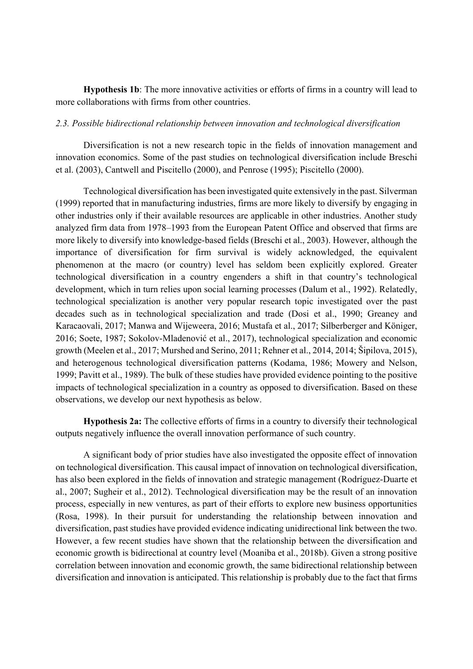**Hypothesis 1b**: The more innovative activities or efforts of firms in a country will lead to more collaborations with firms from other countries.

### *2.3. Possible bidirectional relationship between innovation and technological diversification*

Diversification is not a new research topic in the fields of innovation management and innovation economics. Some of the past studies on technological diversification include Breschi et al. (2003), Cantwell and Piscitello (2000), and Penrose (1995); Piscitello (2000).

Technological diversification has been investigated quite extensively in the past. Silverman (1999) reported that in manufacturing industries, firms are more likely to diversify by engaging in other industries only if their available resources are applicable in other industries. Another study analyzed firm data from 1978–1993 from the European Patent Office and observed that firms are more likely to diversify into knowledge-based fields (Breschi et al., 2003). However, although the importance of diversification for firm survival is widely acknowledged, the equivalent phenomenon at the macro (or country) level has seldom been explicitly explored. Greater technological diversification in a country engenders a shift in that country's technological development, which in turn relies upon social learning processes (Dalum et al., 1992). Relatedly, technological specialization is another very popular research topic investigated over the past decades such as in technological specialization and trade (Dosi et al., 1990; Greaney and Karacaovali, 2017; Manwa and Wijeweera, 2016; Mustafa et al., 2017; Silberberger and Königer, 2016; Soete, 1987; Sokolov-Mladenović et al., 2017), technological specialization and economic growth (Meelen et al., 2017; Murshed and Serino, 2011; Rehner et al., 2014, 2014; Šipilova, 2015), and heterogenous technological diversification patterns (Kodama, 1986; Mowery and Nelson, 1999; Pavitt et al., 1989). The bulk of these studies have provided evidence pointing to the positive impacts of technological specialization in a country as opposed to diversification. Based on these observations, we develop our next hypothesis as below.

**Hypothesis 2a:** The collective efforts of firms in a country to diversify their technological outputs negatively influence the overall innovation performance of such country.

A significant body of prior studies have also investigated the opposite effect of innovation on technological diversification. This causal impact of innovation on technological diversification, has also been explored in the fields of innovation and strategic management (Rodríguez-Duarte et al., 2007; Sugheir et al., 2012). Technological diversification may be the result of an innovation process, especially in new ventures, as part of their efforts to explore new business opportunities (Rosa, 1998). In their pursuit for understanding the relationship between innovation and diversification, past studies have provided evidence indicating unidirectional link between the two. However, a few recent studies have shown that the relationship between the diversification and economic growth is bidirectional at country level (Moaniba et al., 2018b). Given a strong positive correlation between innovation and economic growth, the same bidirectional relationship between diversification and innovation is anticipated. This relationship is probably due to the fact that firms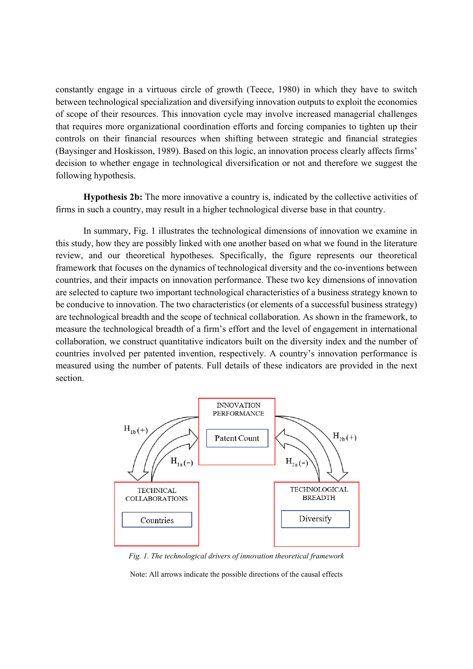constantly engage in a virtuous circle of growth (Teece, 1980) in which they have to switch between technological specialization and diversifying innovation outputs to exploit the economies of scope of their resources. This innovation cycle may involve increased managerial challenges that requires more organizational coordination efforts and forcing companies to tighten up their controls on their financial resources when shifting between strategic and financial strategies (Baysinger and Hoskisson, 1989). Based on this logic, an innovation process clearly affects firms' decision to whether engage in technological diversification or not and therefore we suggest the following hypothesis.

**Hypothesis 2b:** The more innovative a country is, indicated by the collective activities of firms in such a country, may result in a higher technological diverse base in that country.

In summary, Fig. 1 illustrates the technological dimensions of innovation we examine in this study, how they are possibly linked with one another based on what we found in the literature review, and our theoretical hypotheses. Specifically, the figure represents our theoretical framework that focuses on the dynamics of technological diversity and the co-inventions between countries, and their impacts on innovation performance. These two key dimensions of innovation are selected to capture two important technological characteristics of a business strategy known to be conducive to innovation. The two characteristics (or elements of a successful business strategy) are technological breadth and the scope of technical collaboration. As shown in the framework, to measure the technological breadth of a firm's effort and the level of engagement in international collaboration, we construct quantitative indicators built on the diversity index and the number of countries involved per patented invention, respectively. A country's innovation performance is measured using the number of patents. Full details of these indicators are provided in the next section.



*Fig. 1. The technological drivers of innovation theoretical framework*

Note: All arrows indicate the possible directions of the causal effects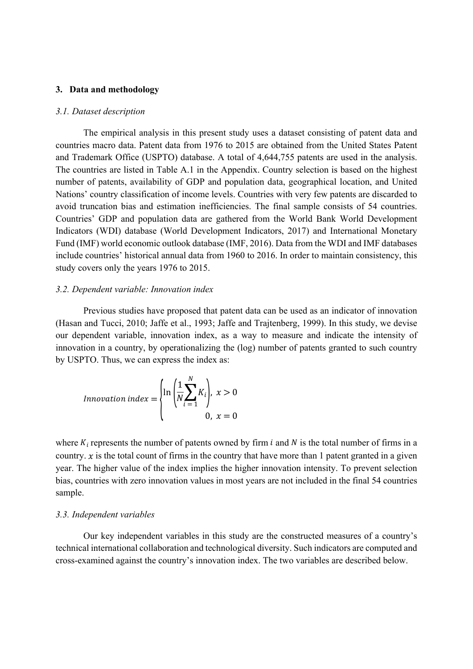#### **3. Data and methodology**

#### *3.1. Dataset description*

The empirical analysis in this present study uses a dataset consisting of patent data and countries macro data. Patent data from 1976 to 2015 are obtained from the United States Patent and Trademark Office (USPTO) database. A total of 4,644,755 patents are used in the analysis. The countries are listed in Table A.1 in the Appendix. Country selection is based on the highest number of patents, availability of GDP and population data, geographical location, and United Nations' country classification of income levels. Countries with very few patents are discarded to avoid truncation bias and estimation inefficiencies. The final sample consists of 54 countries. Countries' GDP and population data are gathered from the World Bank World Development Indicators (WDI) database (World Development Indicators, 2017) and International Monetary Fund (IMF) world economic outlook database (IMF, 2016). Data from the WDI and IMF databases include countries' historical annual data from 1960 to 2016. In order to maintain consistency, this study covers only the years 1976 to 2015.

#### *3.2. Dependent variable: Innovation index*

Previous studies have proposed that patent data can be used as an indicator of innovation (Hasan and Tucci, 2010; Jaffe et al., 1993; Jaffe and Trajtenberg, 1999). In this study, we devise our dependent variable, innovation index, as a way to measure and indicate the intensity of innovation in a country, by operationalizing the (log) number of patents granted to such country by USPTO. Thus, we can express the index as:

*Innovation index* = 
$$
\begin{cases} \ln\left(\frac{1}{N}\sum_{i=1}^{N}K_i\right), x > 0\\ 0, x = 0 \end{cases}
$$

where  $K_i$  represents the number of patents owned by firm i and N is the total number of firms in a country.  $x$  is the total count of firms in the country that have more than 1 patent granted in a given year. The higher value of the index implies the higher innovation intensity. To prevent selection bias, countries with zero innovation values in most years are not included in the final 54 countries sample.

#### *3.3. Independent variables*

Our key independent variables in this study are the constructed measures of a country's technical international collaboration and technological diversity. Such indicators are computed and cross-examined against the country's innovation index. The two variables are described below.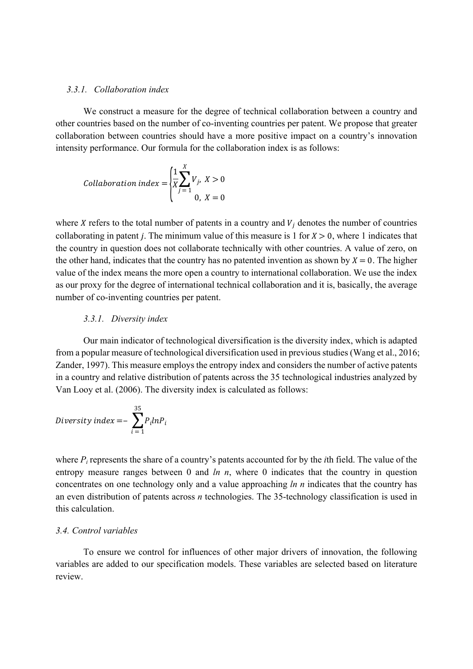### *3.3.1. Collaboration index*

We construct a measure for the degree of technical collaboration between a country and other countries based on the number of co-inventing countries per patent. We propose that greater collaboration between countries should have a more positive impact on a country's innovation intensity performance. Our formula for the collaboration index is as follows:

$$
Collaboration\ index = \left(\frac{1}{X}\sum_{j=1}^{X}V_j, \ X > 0\right)
$$

$$
0, \ X = 0
$$

where *X* refers to the total number of patents in a country and  $V_i$  denotes the number of countries collaborating in patent *j*. The minimum value of this measure is 1 for  $X > 0$ , where 1 indicates that the country in question does not collaborate technically with other countries. A value of zero, on the other hand, indicates that the country has no patented invention as shown by  $X = 0$ . The higher value of the index means the more open a country to international collaboration. We use the index as our proxy for the degree of international technical collaboration and it is, basically, the average number of co-inventing countries per patent.

### *3.3.1. Diversity index*

Our main indicator of technological diversification is the diversity index, which is adapted from a popular measure of technological diversification used in previous studies (Wang et al., 2016; Zander, 1997). This measure employs the entropy index and considers the number of active patents in a country and relative distribution of patents across the 35 technological industries analyzed by Van Looy et al. (2006). The diversity index is calculated as follows:

$$
Diversity\ index = -\sum_{i=1}^{35} P_i ln P_i
$$

where  $P_i$  represents the share of a country's patents accounted for by the *i*th field. The value of the entropy measure ranges between 0 and *ln n*, where 0 indicates that the country in question concentrates on one technology only and a value approaching *ln n* indicates that the country has an even distribution of patents across *n* technologies. The 35-technology classification is used in this calculation.

### *3.4. Control variables*

To ensure we control for influences of other major drivers of innovation, the following variables are added to our specification models. These variables are selected based on literature review.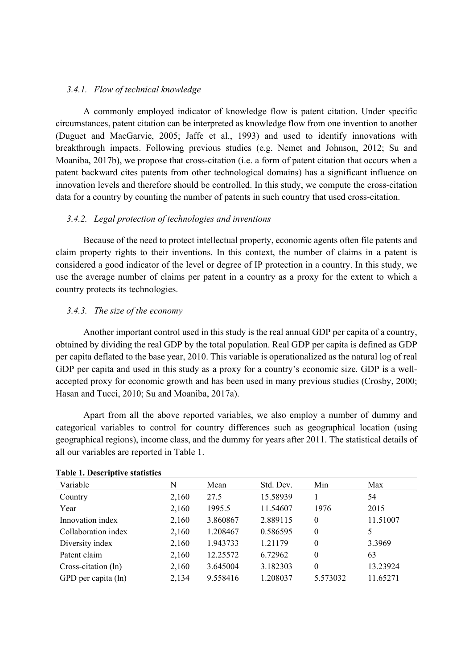# *3.4.1. Flow of technical knowledge*

A commonly employed indicator of knowledge flow is patent citation. Under specific circumstances, patent citation can be interpreted as knowledge flow from one invention to another (Duguet and MacGarvie, 2005; Jaffe et al., 1993) and used to identify innovations with breakthrough impacts. Following previous studies (e.g. Nemet and Johnson, 2012; Su and Moaniba, 2017b), we propose that cross-citation (i.e. a form of patent citation that occurs when a patent backward cites patents from other technological domains) has a significant influence on innovation levels and therefore should be controlled. In this study, we compute the cross-citation data for a country by counting the number of patents in such country that used cross-citation.

### *3.4.2. Legal protection of technologies and inventions*

Because of the need to protect intellectual property, economic agents often file patents and claim property rights to their inventions. In this context, the number of claims in a patent is considered a good indicator of the level or degree of IP protection in a country. In this study, we use the average number of claims per patent in a country as a proxy for the extent to which a country protects its technologies.

# *3.4.3. The size of the economy*

Another important control used in this study is the real annual GDP per capita of a country, obtained by dividing the real GDP by the total population. Real GDP per capita is defined as GDP per capita deflated to the base year, 2010. This variable is operationalized as the natural log of real GDP per capita and used in this study as a proxy for a country's economic size. GDP is a wellaccepted proxy for economic growth and has been used in many previous studies (Crosby, 2000; Hasan and Tucci, 2010; Su and Moaniba, 2017a).

Apart from all the above reported variables, we also employ a number of dummy and categorical variables to control for country differences such as geographical location (using geographical regions), income class, and the dummy for years after 2011. The statistical details of all our variables are reported in Table 1.

| Variable            | N     | Mean     | Std. Dev. | Min            | Max      |
|---------------------|-------|----------|-----------|----------------|----------|
| Country             | 2,160 | 27.5     | 15.58939  |                | 54       |
| Year                | 2,160 | 1995.5   | 11.54607  | 1976           | 2015     |
| Innovation index    | 2,160 | 3.860867 | 2.889115  | $\theta$       | 11.51007 |
| Collaboration index | 2,160 | 1.208467 | 0.586595  | $\overline{0}$ | 5        |
| Diversity index     | 2,160 | 1.943733 | 1.21179   | $\theta$       | 3.3969   |
| Patent claim        | 2,160 | 12.25572 | 6.72962   | $\bf{0}$       | 63       |
| Cross-citation (ln) | 2,160 | 3.645004 | 3.182303  | $\theta$       | 13.23924 |
| GPD per capita (ln) | 2,134 | 9.558416 | 1.208037  | 5.573032       | 11.65271 |

#### **Table 1. Descriptive statistics**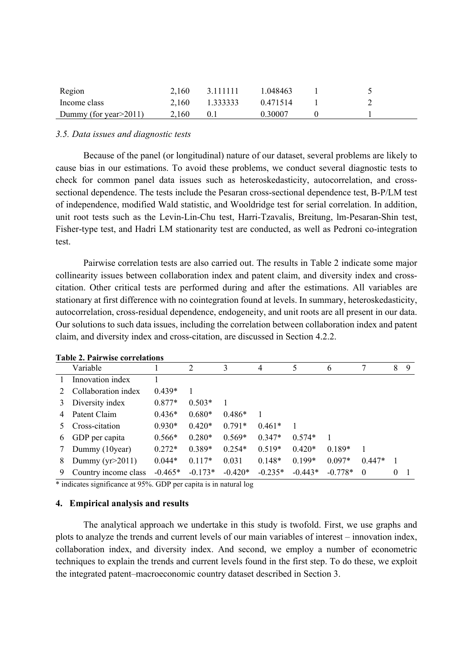| Region                    | 2.160 | 3.111111 | 1.048463 |  |
|---------------------------|-------|----------|----------|--|
| Income class              | 2.160 | 1.333333 | 0.471514 |  |
| Dummy (for year $>2011$ ) | 2.160 | 0.1      | 0.30007  |  |

### *3.5. Data issues and diagnostic tests*

Because of the panel (or longitudinal) nature of our dataset, several problems are likely to cause bias in our estimations. To avoid these problems, we conduct several diagnostic tests to check for common panel data issues such as heteroskedasticity, autocorrelation, and crosssectional dependence. The tests include the Pesaran cross-sectional dependence test, B-P/LM test of independence, modified Wald statistic, and Wooldridge test for serial correlation. In addition, unit root tests such as the Levin-Lin-Chu test, Harri-Tzavalis, Breitung, lm-Pesaran-Shin test, Fisher-type test, and Hadri LM stationarity test are conducted, as well as Pedroni co-integration test.

Pairwise correlation tests are also carried out. The results in Table 2 indicate some major collinearity issues between collaboration index and patent claim, and diversity index and crosscitation. Other critical tests are performed during and after the estimations. All variables are stationary at first difference with no cointegration found at levels. In summary, heteroskedasticity, autocorrelation, cross-residual dependence, endogeneity, and unit roots are all present in our data. Our solutions to such data issues, including the correlation between collaboration index and patent claim, and diversity index and cross-citation, are discussed in Section 4.2.2.

|   | Table 2. I all wise colleiations |           |           |           |           |           |           |          |   |    |
|---|----------------------------------|-----------|-----------|-----------|-----------|-----------|-----------|----------|---|----|
|   | Variable                         |           | 2         | 3         | 4         | 5         | 6         |          | 8 | -9 |
|   | Innovation index                 |           |           |           |           |           |           |          |   |    |
|   | Collaboration index              | $0.439*$  |           |           |           |           |           |          |   |    |
| 3 | Diversity index                  | $0.877*$  | $0.503*$  |           |           |           |           |          |   |    |
| 4 | Patent Claim                     | $0.436*$  | $0.680*$  | $0.486*$  |           |           |           |          |   |    |
|   | Cross-citation                   | $0.930*$  | $0.420*$  | $0.791*$  | $0.461*$  |           |           |          |   |    |
| 6 | GDP per capita                   | $0.566*$  | $0.280*$  | $0.569*$  | $0.347*$  | $0.574*$  |           |          |   |    |
|   | Dummy (10year)                   | $0.272*$  | $0.389*$  | $0.254*$  | $0.519*$  | $0.420*$  | $0.189*$  |          |   |    |
| 8 | Dummy $(yr > 2011)$              | $0.044*$  | $0.117*$  | 0.031     | $0.148*$  | $0.199*$  | $0.097*$  | $0.447*$ |   |    |
| 9 | Country income class             | $-0.465*$ | $-0.173*$ | $-0.420*$ | $-0.235*$ | $-0.443*$ | $-0.778*$ | $\theta$ | 0 |    |

# **Table 2. Pairwise correlations**

\* indicates significance at 95%. GDP per capita is in natural log

#### **4. Empirical analysis and results**

The analytical approach we undertake in this study is twofold. First, we use graphs and plots to analyze the trends and current levels of our main variables of interest – innovation index, collaboration index, and diversity index. And second, we employ a number of econometric techniques to explain the trends and current levels found in the first step. To do these, we exploit the integrated patent–macroeconomic country dataset described in Section 3.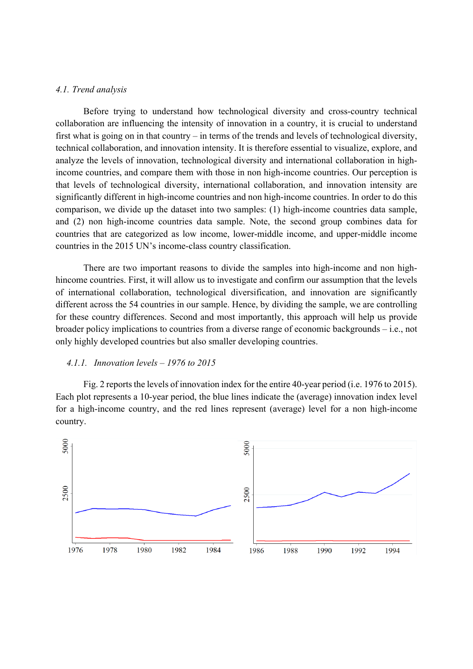#### *4.1. Trend analysis*

Before trying to understand how technological diversity and cross-country technical collaboration are influencing the intensity of innovation in a country, it is crucial to understand first what is going on in that country – in terms of the trends and levels of technological diversity, technical collaboration, and innovation intensity. It is therefore essential to visualize, explore, and analyze the levels of innovation, technological diversity and international collaboration in highincome countries, and compare them with those in non high-income countries. Our perception is that levels of technological diversity, international collaboration, and innovation intensity are significantly different in high-income countries and non high-income countries. In order to do this comparison, we divide up the dataset into two samples: (1) high-income countries data sample, and (2) non high-income countries data sample. Note, the second group combines data for countries that are categorized as low income, lower-middle income, and upper-middle income countries in the 2015 UN's income-class country classification.

There are two important reasons to divide the samples into high-income and non highhincome countries. First, it will allow us to investigate and confirm our assumption that the levels of international collaboration, technological diversification, and innovation are significantly different across the 54 countries in our sample. Hence, by dividing the sample, we are controlling for these country differences. Second and most importantly, this approach will help us provide broader policy implications to countries from a diverse range of economic backgrounds – i.e., not only highly developed countries but also smaller developing countries.

# *4.1.1. Innovation levels – 1976 to 2015*

Fig. 2 reports the levels of innovation index for the entire 40-year period (i.e. 1976 to 2015). Each plot represents a 10-year period, the blue lines indicate the (average) innovation index level for a high-income country, and the red lines represent (average) level for a non high-income country.

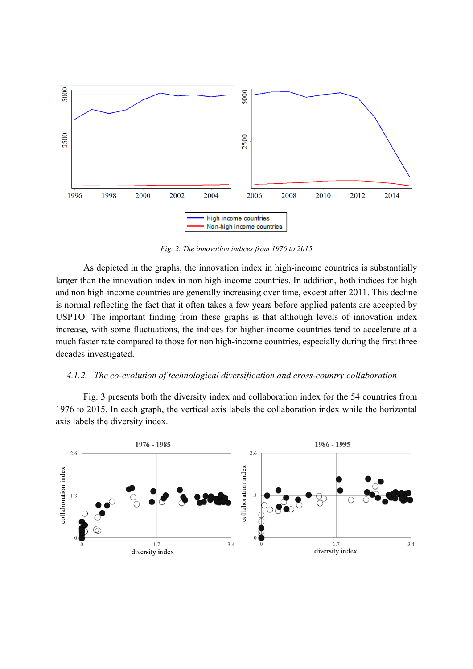

*Fig. 2. The innovation indices from 1976 to 2015*

As depicted in the graphs, the innovation index in high-income countries is substantially larger than the innovation index in non high-income countries. In addition, both indices for high and non high-income countries are generally increasing over time, except after 2011. This decline is normal reflecting the fact that it often takes a few years before applied patents are accepted by USPTO. The important finding from these graphs is that although levels of innovation index increase, with some fluctuations, the indices for higher-income countries tend to accelerate at a much faster rate compared to those for non high-income countries, especially during the first three decades investigated.

### *4.1.2. The co-evolution of technological diversification and cross-country collaboration*

Fig. 3 presents both the diversity index and collaboration index for the 54 countries from 1976 to 2015. In each graph, the vertical axis labels the collaboration index while the horizontal axis labels the diversity index.

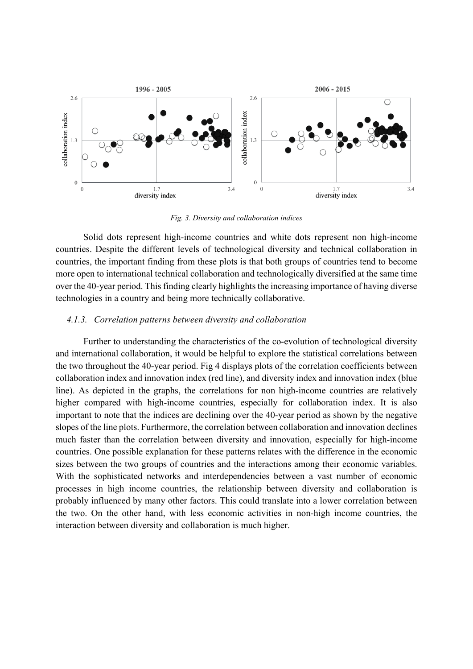

*Fig. 3. Diversity and collaboration indices*

Solid dots represent high-income countries and white dots represent non high-income countries. Despite the different levels of technological diversity and technical collaboration in countries, the important finding from these plots is that both groups of countries tend to become more open to international technical collaboration and technologically diversified at the same time over the 40-year period. This finding clearly highlights the increasing importance of having diverse technologies in a country and being more technically collaborative.

# *4.1.3. Correlation patterns between diversity and collaboration*

Further to understanding the characteristics of the co-evolution of technological diversity and international collaboration, it would be helpful to explore the statistical correlations between the two throughout the 40-year period. Fig 4 displays plots of the correlation coefficients between collaboration index and innovation index (red line), and diversity index and innovation index (blue line). As depicted in the graphs, the correlations for non high-income countries are relatively higher compared with high-income countries, especially for collaboration index. It is also important to note that the indices are declining over the 40-year period as shown by the negative slopes of the line plots. Furthermore, the correlation between collaboration and innovation declines much faster than the correlation between diversity and innovation, especially for high-income countries. One possible explanation for these patterns relates with the difference in the economic sizes between the two groups of countries and the interactions among their economic variables. With the sophisticated networks and interdependencies between a vast number of economic processes in high income countries, the relationship between diversity and collaboration is probably influenced by many other factors. This could translate into a lower correlation between the two. On the other hand, with less economic activities in non-high income countries, the interaction between diversity and collaboration is much higher.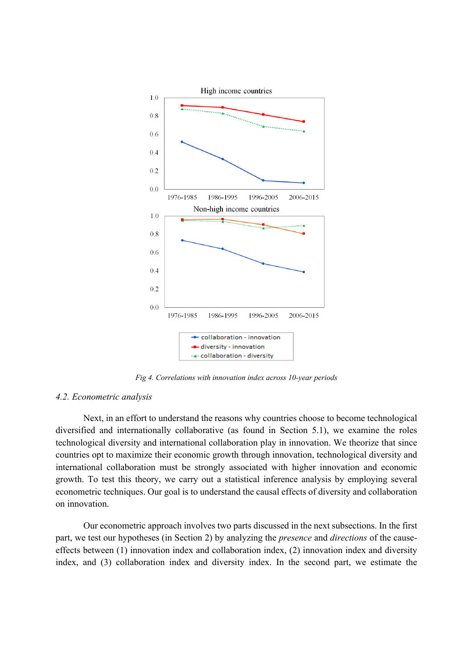

*Fig 4. Correlations with innovation index across 10-year periods*

# *4.2. Econometric analysis*

Next, in an effort to understand the reasons why countries choose to become technological diversified and internationally collaborative (as found in Section 5.1), we examine the roles technological diversity and international collaboration play in innovation. We theorize that since countries opt to maximize their economic growth through innovation, technological diversity and international collaboration must be strongly associated with higher innovation and economic growth. To test this theory, we carry out a statistical inference analysis by employing several econometric techniques. Our goal is to understand the causal effects of diversity and collaboration on innovation.

Our econometric approach involves two parts discussed in the next subsections. In the first part, we test our hypotheses (in Section 2) by analyzing the *presence* and *directions* of the causeeffects between (1) innovation index and collaboration index, (2) innovation index and diversity index, and (3) collaboration index and diversity index. In the second part, we estimate the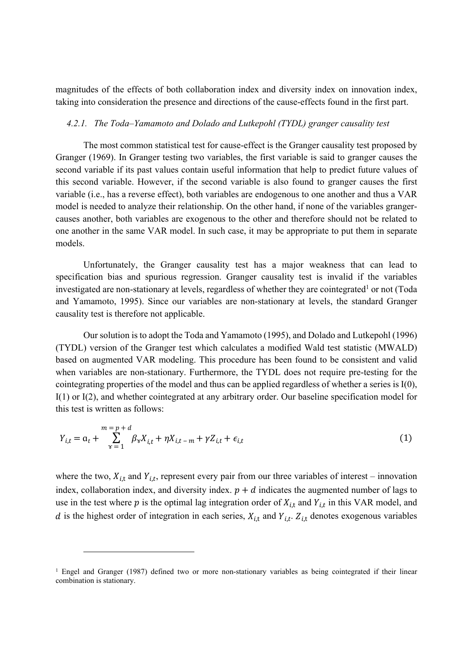magnitudes of the effects of both collaboration index and diversity index on innovation index, taking into consideration the presence and directions of the cause-effects found in the first part.

### *4.2.1. The Toda–Yamamoto and Dolado and Lutkepohl (TYDL) granger causality test*

The most common statistical test for cause-effect is the Granger causality test proposed by Granger (1969). In Granger testing two variables, the first variable is said to granger causes the second variable if its past values contain useful information that help to predict future values of this second variable. However, if the second variable is also found to granger causes the first variable (i.e., has a reverse effect), both variables are endogenous to one another and thus a VAR model is needed to analyze their relationship. On the other hand, if none of the variables grangercauses another, both variables are exogenous to the other and therefore should not be related to one another in the same VAR model. In such case, it may be appropriate to put them in separate models.

Unfortunately, the Granger causality test has a major weakness that can lead to specification bias and spurious regression. Granger causality test is invalid if the variables investigated are non-stationary at levels, regardless of whether they are cointegrated<sup>1</sup> or not (Toda and Yamamoto, 1995). Since our variables are non-stationary at levels, the standard Granger causality test is therefore not applicable.

Our solution is to adopt the Toda and Yamamoto (1995), and Dolado and Lutkepohl (1996) (TYDL) version of the Granger test which calculates a modified Wald test statistic (MWALD) based on augmented VAR modeling. This procedure has been found to be consistent and valid when variables are non-stationary. Furthermore, the TYDL does not require pre-testing for the cointegrating properties of the model and thus can be applied regardless of whether a series is I(0), I(1) or I(2), and whether cointegrated at any arbitrary order. Our baseline specification model for this test is written as follows:

$$
Y_{i,t} = \alpha_t + \sum_{\gamma=1}^{m=p+d} \beta_{\gamma} X_{i,t} + \eta X_{i,t-m} + \gamma Z_{i,t} + \epsilon_{i,t}
$$
 (1)

where the two,  $X_{i,t}$  and  $Y_{i,t}$ , represent every pair from our three variables of interest – innovation index, collaboration index, and diversity index.  $p + d$  indicates the augmented number of lags to use in the test where p is the optimal lag integration order of  $X_{i,t}$  and  $Y_{i,t}$  in this VAR model, and d is the highest order of integration in each series,  $X_{i,t}$  and  $Y_{i,t}$ .  $Z_{i,t}$  denotes exogenous variables

<sup>&</sup>lt;sup>1</sup> Engel and Granger (1987) defined two or more non-stationary variables as being cointegrated if their linear combination is stationary.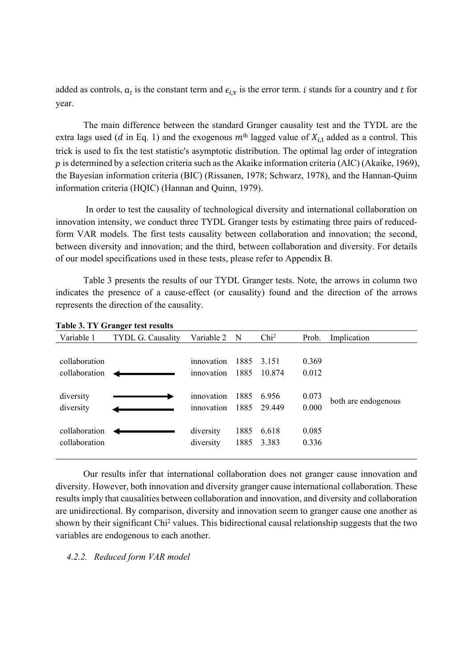added as controls,  $a_t$  is the constant term and  $\epsilon_{i,x}$  is the error term. i stands for a country and t for year.

The main difference between the standard Granger causality test and the TYDL are the extra lags used (*d* in Eq. 1) and the exogenous  $m<sup>th</sup>$  lagged value of  $X_{i,t}$  added as a control. This trick is used to fix the test statistic's asymptotic distribution. The optimal lag order of integration  $p$  is determined by a selection criteria such as the Akaike information criteria (AIC) (Akaike, 1969), the Bayesian information criteria (BIC) (Rissanen, 1978; Schwarz, 1978), and the Hannan-Quinn information criteria (HQIC) (Hannan and Quinn, 1979).

 In order to test the causality of technological diversity and international collaboration on innovation intensity, we conduct three TYDL Granger tests by estimating three pairs of reducedform VAR models. The first tests causality between collaboration and innovation; the second, between diversity and innovation; and the third, between collaboration and diversity. For details of our model specifications used in these tests, please refer to Appendix B.

Table 3 presents the results of our TYDL Granger tests. Note, the arrows in column two indicates the presence of a cause-effect (or causality) found and the direction of the arrows represents the direction of the causality.

|                                | radie 5. I'r Granger test resuits |                          |              |                  |                |                     |
|--------------------------------|-----------------------------------|--------------------------|--------------|------------------|----------------|---------------------|
| Variable 1                     | <b>TYDL G. Causality</b>          | Variable 2               | N            | Chi <sup>2</sup> | Prob.          | Implication         |
| collaboration<br>collaboration |                                   | innovation<br>innovation | 1885<br>1885 | 3.151<br>10 874  | 0.369<br>0.012 |                     |
| diversity<br>diversity         |                                   | innovation<br>innovation | 1885<br>1885 | 6.956<br>29 449  | 0.073<br>0.000 | both are endogenous |
| collaboration<br>collaboration |                                   | diversity<br>diversity   | 1885<br>1885 | 6.618<br>3.383   | 0.085<br>0.336 |                     |

**Table 3. TY Granger test results** 

Our results infer that international collaboration does not granger cause innovation and diversity. However, both innovation and diversity granger cause international collaboration. These results imply that causalities between collaboration and innovation, and diversity and collaboration are unidirectional. By comparison, diversity and innovation seem to granger cause one another as shown by their significant Chi2 values. This bidirectional causal relationship suggests that the two variables are endogenous to each another.

# *4.2.2. Reduced form VAR model*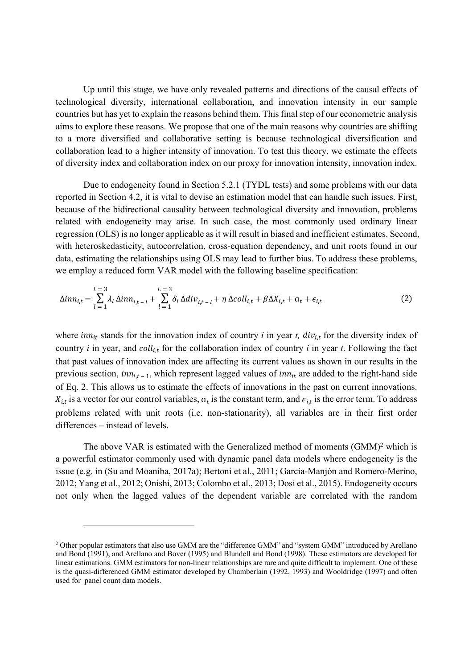Up until this stage, we have only revealed patterns and directions of the causal effects of technological diversity, international collaboration, and innovation intensity in our sample countries but has yet to explain the reasons behind them. This final step of our econometric analysis aims to explore these reasons. We propose that one of the main reasons why countries are shifting to a more diversified and collaborative setting is because technological diversification and collaboration lead to a higher intensity of innovation. To test this theory, we estimate the effects of diversity index and collaboration index on our proxy for innovation intensity, innovation index.

Due to endogeneity found in Section 5.2.1 (TYDL tests) and some problems with our data reported in Section 4.2, it is vital to devise an estimation model that can handle such issues. First, because of the bidirectional causality between technological diversity and innovation, problems related with endogeneity may arise. In such case, the most commonly used ordinary linear regression (OLS) is no longer applicable as it will result in biased and inefficient estimates. Second, with heteroskedasticity, autocorrelation, cross-equation dependency, and unit roots found in our data, estimating the relationships using OLS may lead to further bias. To address these problems, we employ a reduced form VAR model with the following baseline specification:

$$
\Delta inn_{i,t} = \sum_{l=1}^{L=3} \lambda_l \Delta inn_{i,t-l} + \sum_{l=1}^{L=3} \delta_l \Delta div_{i,t-l} + \eta \Delta coll_{i,t} + \beta \Delta X_{i,t} + \alpha_t + \epsilon_{i,t}
$$
(2)

where  $inn_{it}$  stands for the innovation index of country *i* in year *t*,  $div_{it}$  for the diversity index of country *i* in year, and  $coll_{i,t}$  for the collaboration index of country *i* in year *t*. Following the fact that past values of innovation index are affecting its current values as shown in our results in the previous section,  $inn_{i,t-1}$ , which represent lagged values of  $inn_{it}$  are added to the right-hand side of Eq. 2. This allows us to estimate the effects of innovations in the past on current innovations.  $X_{i,t}$  is a vector for our control variables,  $a_t$  is the constant term, and  $\epsilon_{i,t}$  is the error term. To address problems related with unit roots (i.e. non-stationarity), all variables are in their first order differences – instead of levels.

The above VAR is estimated with the Generalized method of moments (GMM)<sup>2</sup> which is a powerful estimator commonly used with dynamic panel data models where endogeneity is the issue (e.g. in (Su and Moaniba, 2017a); Bertoni et al., 2011; García-Manjón and Romero-Merino, 2012; Yang et al., 2012; Onishi, 2013; Colombo et al., 2013; Dosi et al., 2015). Endogeneity occurs not only when the lagged values of the dependent variable are correlated with the random

<sup>2</sup> Other popular estimators that also use GMM are the "difference GMM" and "system GMM" introduced by Arellano and Bond (1991), and Arellano and Bover (1995) and Blundell and Bond (1998). These estimators are developed for linear estimations. GMM estimators for non-linear relationships are rare and quite difficult to implement. One of these is the quasi-differenced GMM estimator developed by Chamberlain (1992, 1993) and Wooldridge (1997) and often used for panel count data models.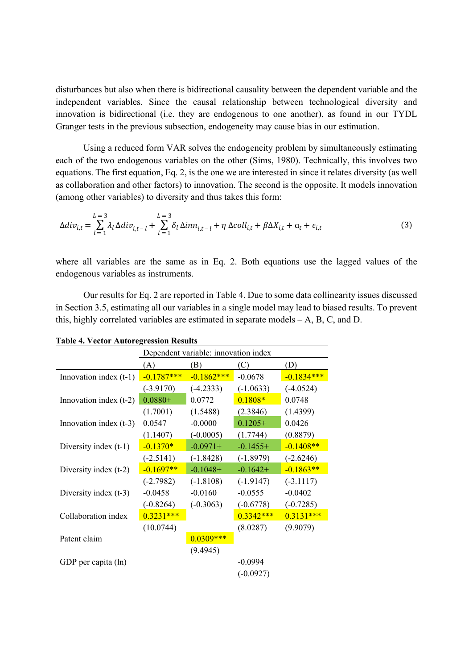disturbances but also when there is bidirectional causality between the dependent variable and the independent variables. Since the causal relationship between technological diversity and innovation is bidirectional (i.e. they are endogenous to one another), as found in our TYDL Granger tests in the previous subsection, endogeneity may cause bias in our estimation.

Using a reduced form VAR solves the endogeneity problem by simultaneously estimating each of the two endogenous variables on the other (Sims, 1980). Technically, this involves two equations. The first equation, Eq. 2, is the one we are interested in since it relates diversity (as well as collaboration and other factors) to innovation. The second is the opposite. It models innovation (among other variables) to diversity and thus takes this form:

$$
\Delta div_{i,t} = \sum_{l=1}^{L=3} \lambda_l \Delta div_{i,t-l} + \sum_{l=1}^{L=3} \delta_l \Delta inn_{i,t-l} + \eta \Delta coll_{i,t} + \beta \Delta X_{i,t} + \alpha_t + \epsilon_{i,t}
$$
(3)

where all variables are the same as in Eq. 2. Both equations use the lagged values of the endogenous variables as instruments.

Our results for Eq. 2 are reported in Table 4. Due to some data collinearity issues discussed in Section 3.5, estimating all our variables in a single model may lead to biased results. To prevent this, highly correlated variables are estimated in separate models  $-A$ , B, C, and D.

|                          | Dependent variable: innovation index |              |             |              |  |  |  |
|--------------------------|--------------------------------------|--------------|-------------|--------------|--|--|--|
|                          | (A)                                  | (B)          | (C)         | (D)          |  |  |  |
| Innovation index $(t-1)$ | $-0.1787***$                         | $-0.1862***$ | $-0.0678$   | $-0.1834***$ |  |  |  |
|                          | $(-3.9170)$                          | $(-4.2333)$  | $(-1.0633)$ | $(-4.0524)$  |  |  |  |
| Innovation index $(t-2)$ | $0.0880 +$                           | 0.0772       | $0.1808*$   | 0.0748       |  |  |  |
|                          | (1.7001)                             | (1.5488)     | (2.3846)    | (1.4399)     |  |  |  |
| Innovation index $(t-3)$ | 0.0547                               | $-0.0000$    | $0.1205+$   | 0.0426       |  |  |  |
|                          | (1.1407)                             | $(-0.0005)$  | (1.7744)    | (0.8879)     |  |  |  |
| Diversity index $(t-1)$  | $-0.1370*$                           | $-0.0971+$   | $-0.1455+$  | $-0.1408**$  |  |  |  |
|                          | $(-2.5141)$                          | $(-1.8428)$  | $(-1.8979)$ | $(-2.6246)$  |  |  |  |
| Diversity index $(t-2)$  | $-0.1697**$                          | $-0.1048+$   | $-0.1642+$  | $-0.1863**$  |  |  |  |
|                          | $(-2.7982)$                          | $(-1.8108)$  | $(-1.9147)$ | $(-3.1117)$  |  |  |  |
| Diversity index $(t-3)$  | $-0.0458$                            | $-0.0160$    | $-0.0555$   | $-0.0402$    |  |  |  |
|                          | $(-0.8264)$                          | $(-0.3063)$  | $(-0.6778)$ | $(-0.7285)$  |  |  |  |
| Collaboration index      | $0.3231***$                          |              | $0.3342***$ | $0.3131***$  |  |  |  |
|                          | (10.0744)                            |              | (8.0287)    | (9.9079)     |  |  |  |
| Patent claim             |                                      | $0.0309***$  |             |              |  |  |  |
|                          |                                      | (9.4945)     |             |              |  |  |  |
| GDP per capita (ln)      |                                      |              | $-0.0994$   |              |  |  |  |
|                          |                                      |              | $(-0.0927)$ |              |  |  |  |

| <b>Table 4. Vector Autoregression Results</b> |  |  |  |  |
|-----------------------------------------------|--|--|--|--|
|-----------------------------------------------|--|--|--|--|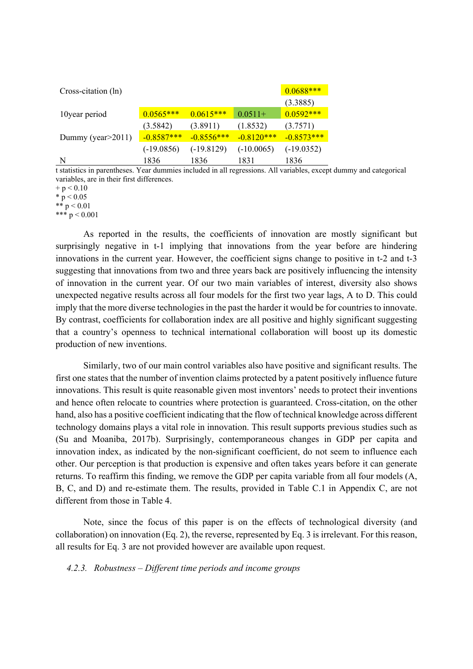| Cross-citation (ln)   |              |              |              | $0.0688***$  |
|-----------------------|--------------|--------------|--------------|--------------|
|                       |              |              |              | (3.3885)     |
| 10year period         | $0.0565***$  | $0.0615***$  | $0.0511+$    | $0.0592***$  |
|                       | (3.5842)     | (3.8911)     | (1.8532)     | (3.7571)     |
| Dummy (year $>2011$ ) | $-0.8587***$ | $-0.8556***$ | $-0.8120***$ | $-0.8573***$ |
|                       | $(-19.0856)$ | $(-19.8129)$ | $(-10.0065)$ | $(-19.0352)$ |
| N                     | 1836         | 1836         | 1831         | 1836         |

t statistics in parentheses. Year dummies included in all regressions. All variables, except dummy and categorical variables, are in their first differences.

 $+ p < 0.10$  $* \bar{p} < 0.05$ \*\*  $p < 0.01$ 

\*\*\*  $p < 0.001$ 

As reported in the results, the coefficients of innovation are mostly significant but surprisingly negative in t-1 implying that innovations from the year before are hindering innovations in the current year. However, the coefficient signs change to positive in t-2 and t-3 suggesting that innovations from two and three years back are positively influencing the intensity of innovation in the current year. Of our two main variables of interest, diversity also shows unexpected negative results across all four models for the first two year lags, A to D. This could imply that the more diverse technologies in the past the harder it would be for countries to innovate. By contrast, coefficients for collaboration index are all positive and highly significant suggesting that a country's openness to technical international collaboration will boost up its domestic production of new inventions.

Similarly, two of our main control variables also have positive and significant results. The first one states that the number of invention claims protected by a patent positively influence future innovations. This result is quite reasonable given most inventors' needs to protect their inventions and hence often relocate to countries where protection is guaranteed. Cross-citation, on the other hand, also has a positive coefficient indicating that the flow of technical knowledge across different technology domains plays a vital role in innovation. This result supports previous studies such as (Su and Moaniba, 2017b). Surprisingly, contemporaneous changes in GDP per capita and innovation index, as indicated by the non-significant coefficient, do not seem to influence each other. Our perception is that production is expensive and often takes years before it can generate returns. To reaffirm this finding, we remove the GDP per capita variable from all four models (A, B, C, and D) and re-estimate them. The results, provided in Table C.1 in Appendix C, are not different from those in Table 4.

Note, since the focus of this paper is on the effects of technological diversity (and collaboration) on innovation (Eq. 2), the reverse, represented by Eq. 3 is irrelevant. For this reason, all results for Eq. 3 are not provided however are available upon request.

# *4.2.3. Robustness – Different time periods and income groups*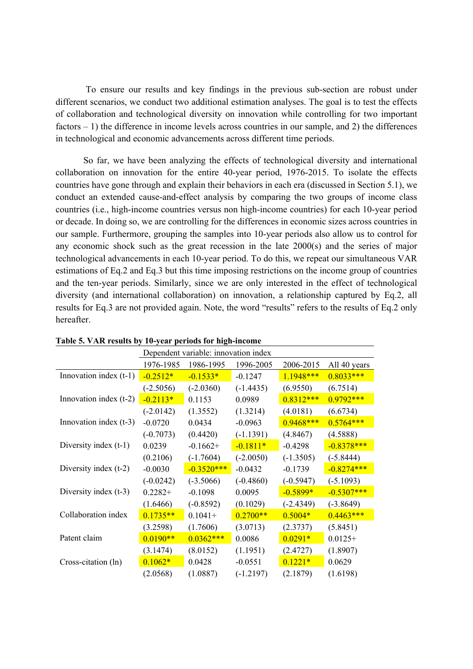To ensure our results and key findings in the previous sub-section are robust under different scenarios, we conduct two additional estimation analyses. The goal is to test the effects of collaboration and technological diversity on innovation while controlling for two important factors – 1) the difference in income levels across countries in our sample, and 2) the differences in technological and economic advancements across different time periods.

So far, we have been analyzing the effects of technological diversity and international collaboration on innovation for the entire 40-year period, 1976-2015. To isolate the effects countries have gone through and explain their behaviors in each era (discussed in Section 5.1), we conduct an extended cause-and-effect analysis by comparing the two groups of income class countries (i.e., high-income countries versus non high-income countries) for each 10-year period or decade. In doing so, we are controlling for the differences in economic sizes across countries in our sample. Furthermore, grouping the samples into 10-year periods also allow us to control for any economic shock such as the great recession in the late 2000(s) and the series of major technological advancements in each 10-year period. To do this, we repeat our simultaneous VAR estimations of Eq.2 and Eq.3 but this time imposing restrictions on the income group of countries and the ten-year periods. Similarly, since we are only interested in the effect of technological diversity (and international collaboration) on innovation, a relationship captured by Eq.2, all results for Eq.3 are not provided again. Note, the word "results" refers to the results of Eq.2 only hereafter.

|                          | Dependent variable: innovation index |              |             |             |              |  |
|--------------------------|--------------------------------------|--------------|-------------|-------------|--------------|--|
|                          | 1976-1985                            | 1986-1995    | 1996-2005   | 2006-2015   | All 40 years |  |
| Innovation index $(t-1)$ | $-0.2512*$                           | $-0.1533*$   | $-0.1247$   | $1.1948***$ | $0.8033***$  |  |
|                          | $(-2.5056)$                          | $(-2.0360)$  | $(-1.4435)$ | (6.9550)    | (6.7514)     |  |
| Innovation index $(t-2)$ | $-0.2113*$                           | 0.1153       | 0.0989      | $0.8312***$ | $0.9792***$  |  |
|                          | $(-2.0142)$                          | (1.3552)     | (1.3214)    | (4.0181)    | (6.6734)     |  |
| Innovation index (t-3)   | $-0.0720$                            | 0.0434       | $-0.0963$   | $0.9468***$ | $0.5764***$  |  |
|                          | $(-0.7073)$                          | (0.4420)     | $(-1.1391)$ | (4.8467)    | (4.5888)     |  |
| Diversity index $(t-1)$  | 0.0239                               | $-0.1662+$   | $-0.1811*$  | $-0.4298$   | $-0.8378***$ |  |
|                          | (0.2106)                             | $(-1.7604)$  | $(-2.0050)$ | $(-1.3505)$ | $(-5.8444)$  |  |
| Diversity index $(t-2)$  | $-0.0030$                            | $-0.3520***$ | $-0.0432$   | $-0.1739$   | $-0.8274***$ |  |
|                          | $(-0.0242)$                          | $(-3.5066)$  | $(-0.4860)$ | $(-0.5947)$ | $(-5.1093)$  |  |
| Diversity index $(t-3)$  | $0.2282+$                            | $-0.1098$    | 0.0095      | $-0.5899*$  | $-0.5307***$ |  |
|                          | (1.6466)                             | $(-0.8592)$  | (0.1029)    | $(-2.4349)$ | $(-3.8649)$  |  |
| Collaboration index      | $0.1735**$                           | $0.1041+$    | $0.2700**$  | $0.5004*$   | $0.4463***$  |  |
|                          | (3.2598)                             | (1.7606)     | (3.0713)    | (2.3737)    | (5.8451)     |  |
| Patent claim             | $0.0190**$                           | $0.0362***$  | 0.0086      | $0.0291*$   | $0.0125+$    |  |
|                          | (3.1474)                             | (8.0152)     | (1.1951)    | (2.4727)    | (1.8907)     |  |
| Cross-citation (ln)      | $0.1062*$                            | 0.0428       | $-0.0551$   | $0.1221*$   | 0.0629       |  |
|                          | (2.0568)                             | (1.0887)     | $(-1.2197)$ | (2.1879)    | (1.6198)     |  |

**Table 5. VAR results by 10-year periods for high-income**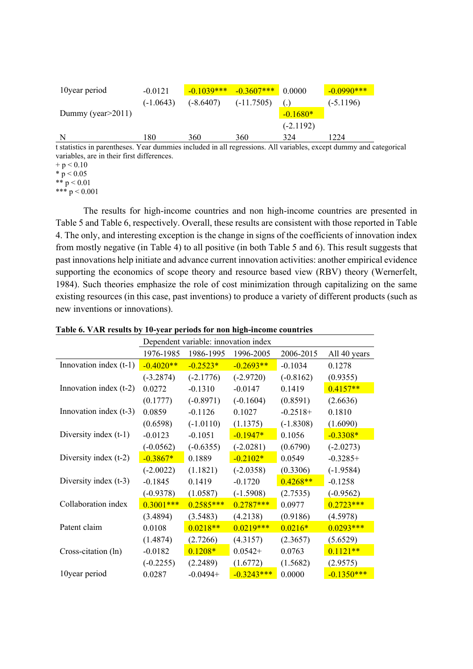| 10 year period        | $-0.0121$   | $-0.1039***$ | $\frac{-0.3607**}{\cdot}$ | 0.0000      | $-0.0990***$ |
|-----------------------|-------------|--------------|---------------------------|-------------|--------------|
|                       | $(-1.0643)$ | $(-8.6407)$  | $(-11.7505)$              |             | $(-5.1196)$  |
| Dummy (year $>2011$ ) |             |              |                           | $-0.1680*$  |              |
|                       |             |              |                           | $(-2.1192)$ |              |
| N                     | 180         | 360          | 360                       | 324         | 1224         |

t statistics in parentheses. Year dummies included in all regressions. All variables, except dummy and categorical variables, are in their first differences.

\*\*  $p < 0.01$ 

\*\*\*  $p < 0.001$ 

The results for high-income countries and non high-income countries are presented in Table 5 and Table 6, respectively. Overall, these results are consistent with those reported in Table 4. The only, and interesting exception is the change in signs of the coefficients of innovation index from mostly negative (in Table 4) to all positive (in both Table 5 and 6). This result suggests that past innovations help initiate and advance current innovation activities: another empirical evidence supporting the economics of scope theory and resource based view (RBV) theory (Wernerfelt, 1984). Such theories emphasize the role of cost minimization through capitalizing on the same existing resources (in this case, past inventions) to produce a variety of different products (such as new inventions or innovations).

|                          | Dependent variable: innovation index |             |              |             |              |  |
|--------------------------|--------------------------------------|-------------|--------------|-------------|--------------|--|
|                          | 1976-1985                            | 1986-1995   | 1996-2005    | 2006-2015   | All 40 years |  |
| Innovation index $(t-1)$ | $-0.4020**$                          | $-0.2523*$  | $-0.2693**$  | $-0.1034$   | 0.1278       |  |
|                          | $(-3.2874)$                          | $(-2.1776)$ | $(-2.9720)$  | $(-0.8162)$ | (0.9355)     |  |
| Innovation index $(t-2)$ | 0.0272                               | $-0.1310$   | $-0.0147$    | 0.1419      | $0.4157**$   |  |
|                          | (0.1777)                             | $(-0.8971)$ | $(-0.1604)$  | (0.8591)    | (2.6636)     |  |
| Innovation index $(t-3)$ | 0.0859                               | $-0.1126$   | 0.1027       | $-0.2518+$  | 0.1810       |  |
|                          | (0.6598)                             | $(-1.0110)$ | (1.1375)     | $(-1.8308)$ | (1.6090)     |  |
| Diversity index $(t-1)$  | $-0.0123$                            | $-0.1051$   | $-0.1947*$   | 0.1056      | $-0.3308*$   |  |
|                          | $(-0.0562)$                          | $(-0.6355)$ | $(-2.0281)$  | (0.6790)    | $(-2.0273)$  |  |
| Diversity index $(t-2)$  | $-0.3867*$                           | 0.1889      | $-0.2102*$   | 0.0549      | $-0.3285+$   |  |
|                          | $(-2.0022)$                          | (1.1821)    | $(-2.0358)$  | (0.3306)    | $(-1.9584)$  |  |
| Diversity index $(t-3)$  | $-0.1845$                            | 0.1419      | $-0.1720$    | $0.4268**$  | $-0.1258$    |  |
|                          | $(-0.9378)$                          | (1.0587)    | $(-1.5908)$  | (2.7535)    | $(-0.9562)$  |  |
| Collaboration index      | $0.3001***$                          | $0.2585***$ | $0.2787***$  | 0.0977      | $0.2723***$  |  |
|                          | (3.4894)                             | (3.5483)    | (4.2138)     | (0.9186)    | (4.5978)     |  |
| Patent claim             | 0.0108                               | $0.0218**$  | $0.0219***$  | $0.0216*$   | $0.0293***$  |  |
|                          | (1.4874)                             | (2.7266)    | (4.3157)     | (2.3657)    | (5.6529)     |  |
| Cross-citation (ln)      | $-0.0182$                            | $0.1208*$   | $0.0542+$    | 0.0763      | $0.1121**$   |  |
|                          | $(-0.2255)$                          | (2.2489)    | (1.6772)     | (1.5682)    | (2.9575)     |  |
| 10 year period           | 0.0287                               | $-0.0494+$  | $-0.3243***$ | 0.0000      | $-0.1350***$ |  |

# **Table 6. VAR results by 10-year periods for non high-income countries**

 $+ p < 0.10$ 

 $* p < 0.05$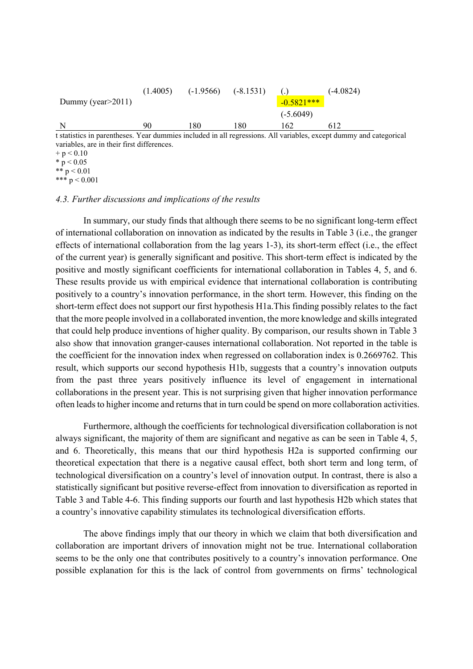|                       | (1.4005) | $(-1.9566)$ | $(-8.1531)$ |              | $(-4.0824)$ |
|-----------------------|----------|-------------|-------------|--------------|-------------|
| Dummy (year $>2011$ ) |          |             |             | $-0.5821***$ |             |
|                       |          |             |             | $(-5.6049)$  |             |
| N                     | 90       | 180         | 180         | 162          | 612         |
|                       |          |             |             |              |             |

t statistics in parentheses. Year dummies included in all regressions. All variables, except dummy and categorical variables, are in their first differences.

 $+ p < 0.10$  $* \, p < 0.05$ 

\*\*  $p < 0.01$ 

\*\*\*  $p < 0.001$ 

### *4.3. Further discussions and implications of the results*

In summary, our study finds that although there seems to be no significant long-term effect of international collaboration on innovation as indicated by the results in Table 3 (i.e., the granger effects of international collaboration from the lag years 1-3), its short-term effect (i.e., the effect of the current year) is generally significant and positive. This short-term effect is indicated by the positive and mostly significant coefficients for international collaboration in Tables 4, 5, and 6. These results provide us with empirical evidence that international collaboration is contributing positively to a country's innovation performance, in the short term. However, this finding on the short-term effect does not support our first hypothesis H1a.This finding possibly relates to the fact that the more people involved in a collaborated invention, the more knowledge and skills integrated that could help produce inventions of higher quality. By comparison, our results shown in Table 3 also show that innovation granger-causes international collaboration. Not reported in the table is the coefficient for the innovation index when regressed on collaboration index is 0.2669762. This result, which supports our second hypothesis H1b, suggests that a country's innovation outputs from the past three years positively influence its level of engagement in international collaborations in the present year. This is not surprising given that higher innovation performance often leads to higher income and returns that in turn could be spend on more collaboration activities.

Furthermore, although the coefficients for technological diversification collaboration is not always significant, the majority of them are significant and negative as can be seen in Table 4, 5, and 6. Theoretically, this means that our third hypothesis H2a is supported confirming our theoretical expectation that there is a negative causal effect, both short term and long term, of technological diversification on a country's level of innovation output. In contrast, there is also a statistically significant but positive reverse-effect from innovation to diversification as reported in Table 3 and Table 4-6. This finding supports our fourth and last hypothesis H2b which states that a country's innovative capability stimulates its technological diversification efforts.

The above findings imply that our theory in which we claim that both diversification and collaboration are important drivers of innovation might not be true. International collaboration seems to be the only one that contributes positively to a country's innovation performance. One possible explanation for this is the lack of control from governments on firms' technological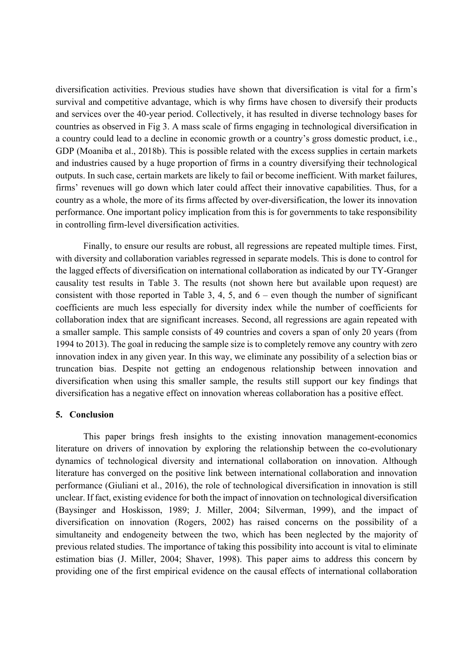diversification activities. Previous studies have shown that diversification is vital for a firm's survival and competitive advantage, which is why firms have chosen to diversify their products and services over the 40-year period. Collectively, it has resulted in diverse technology bases for countries as observed in Fig 3. A mass scale of firms engaging in technological diversification in a country could lead to a decline in economic growth or a country's gross domestic product, i.e., GDP (Moaniba et al., 2018b). This is possible related with the excess supplies in certain markets and industries caused by a huge proportion of firms in a country diversifying their technological outputs. In such case, certain markets are likely to fail or become inefficient. With market failures, firms' revenues will go down which later could affect their innovative capabilities. Thus, for a country as a whole, the more of its firms affected by over-diversification, the lower its innovation performance. One important policy implication from this is for governments to take responsibility in controlling firm-level diversification activities.

Finally, to ensure our results are robust, all regressions are repeated multiple times. First, with diversity and collaboration variables regressed in separate models. This is done to control for the lagged effects of diversification on international collaboration as indicated by our TY-Granger causality test results in Table 3. The results (not shown here but available upon request) are consistent with those reported in Table 3, 4, 5, and  $6$  – even though the number of significant coefficients are much less especially for diversity index while the number of coefficients for collaboration index that are significant increases. Second, all regressions are again repeated with a smaller sample. This sample consists of 49 countries and covers a span of only 20 years (from 1994 to 2013). The goal in reducing the sample size is to completely remove any country with zero innovation index in any given year. In this way, we eliminate any possibility of a selection bias or truncation bias. Despite not getting an endogenous relationship between innovation and diversification when using this smaller sample, the results still support our key findings that diversification has a negative effect on innovation whereas collaboration has a positive effect.

### **5. Conclusion**

This paper brings fresh insights to the existing innovation management-economics literature on drivers of innovation by exploring the relationship between the co-evolutionary dynamics of technological diversity and international collaboration on innovation. Although literature has converged on the positive link between international collaboration and innovation performance (Giuliani et al., 2016), the role of technological diversification in innovation is still unclear. If fact, existing evidence for both the impact of innovation on technological diversification (Baysinger and Hoskisson, 1989; J. Miller, 2004; Silverman, 1999), and the impact of diversification on innovation (Rogers, 2002) has raised concerns on the possibility of a simultaneity and endogeneity between the two, which has been neglected by the majority of previous related studies. The importance of taking this possibility into account is vital to eliminate estimation bias (J. Miller, 2004; Shaver, 1998). This paper aims to address this concern by providing one of the first empirical evidence on the causal effects of international collaboration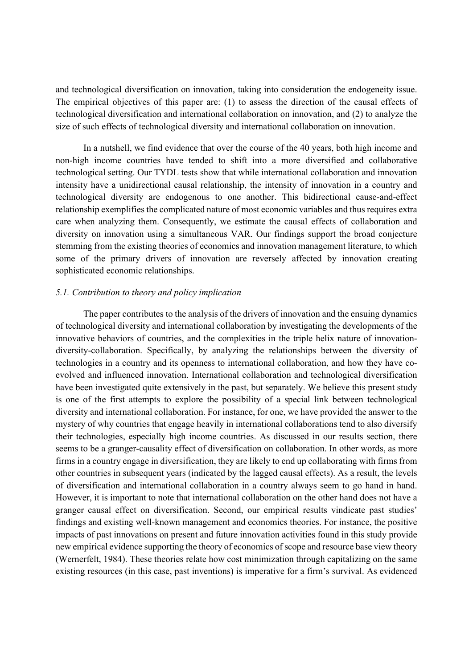and technological diversification on innovation, taking into consideration the endogeneity issue. The empirical objectives of this paper are: (1) to assess the direction of the causal effects of technological diversification and international collaboration on innovation, and (2) to analyze the size of such effects of technological diversity and international collaboration on innovation.

In a nutshell, we find evidence that over the course of the 40 years, both high income and non-high income countries have tended to shift into a more diversified and collaborative technological setting. Our TYDL tests show that while international collaboration and innovation intensity have a unidirectional causal relationship, the intensity of innovation in a country and technological diversity are endogenous to one another. This bidirectional cause-and-effect relationship exemplifies the complicated nature of most economic variables and thus requires extra care when analyzing them. Consequently, we estimate the causal effects of collaboration and diversity on innovation using a simultaneous VAR. Our findings support the broad conjecture stemming from the existing theories of economics and innovation management literature, to which some of the primary drivers of innovation are reversely affected by innovation creating sophisticated economic relationships.

### *5.1. Contribution to theory and policy implication*

The paper contributes to the analysis of the drivers of innovation and the ensuing dynamics of technological diversity and international collaboration by investigating the developments of the innovative behaviors of countries, and the complexities in the triple helix nature of innovationdiversity-collaboration. Specifically, by analyzing the relationships between the diversity of technologies in a country and its openness to international collaboration, and how they have coevolved and influenced innovation. International collaboration and technological diversification have been investigated quite extensively in the past, but separately. We believe this present study is one of the first attempts to explore the possibility of a special link between technological diversity and international collaboration. For instance, for one, we have provided the answer to the mystery of why countries that engage heavily in international collaborations tend to also diversify their technologies, especially high income countries. As discussed in our results section, there seems to be a granger-causality effect of diversification on collaboration. In other words, as more firms in a country engage in diversification, they are likely to end up collaborating with firms from other countries in subsequent years (indicated by the lagged causal effects). As a result, the levels of diversification and international collaboration in a country always seem to go hand in hand. However, it is important to note that international collaboration on the other hand does not have a granger causal effect on diversification. Second, our empirical results vindicate past studies' findings and existing well-known management and economics theories. For instance, the positive impacts of past innovations on present and future innovation activities found in this study provide new empirical evidence supporting the theory of economics of scope and resource base view theory (Wernerfelt, 1984). These theories relate how cost minimization through capitalizing on the same existing resources (in this case, past inventions) is imperative for a firm's survival. As evidenced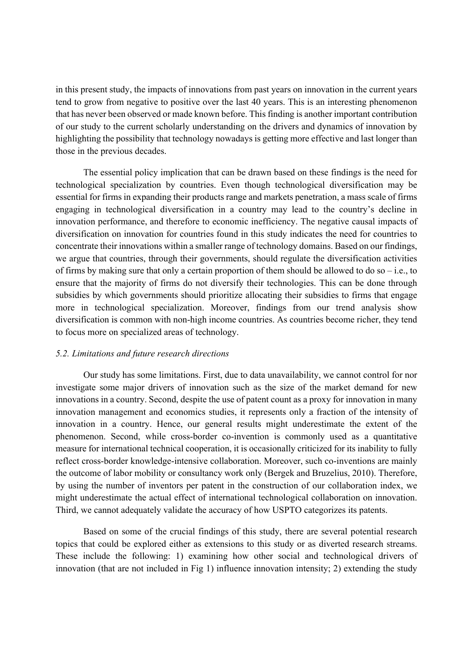in this present study, the impacts of innovations from past years on innovation in the current years tend to grow from negative to positive over the last 40 years. This is an interesting phenomenon that has never been observed or made known before. This finding is another important contribution of our study to the current scholarly understanding on the drivers and dynamics of innovation by highlighting the possibility that technology nowadays is getting more effective and last longer than those in the previous decades.

The essential policy implication that can be drawn based on these findings is the need for technological specialization by countries. Even though technological diversification may be essential for firms in expanding their products range and markets penetration, a mass scale of firms engaging in technological diversification in a country may lead to the country's decline in innovation performance, and therefore to economic inefficiency. The negative causal impacts of diversification on innovation for countries found in this study indicates the need for countries to concentrate their innovations within a smaller range of technology domains. Based on our findings, we argue that countries, through their governments, should regulate the diversification activities of firms by making sure that only a certain proportion of them should be allowed to do so – i.e., to ensure that the majority of firms do not diversify their technologies. This can be done through subsidies by which governments should prioritize allocating their subsidies to firms that engage more in technological specialization. Moreover, findings from our trend analysis show diversification is common with non-high income countries. As countries become richer, they tend to focus more on specialized areas of technology.

### *5.2. Limitations and future research directions*

Our study has some limitations. First, due to data unavailability, we cannot control for nor investigate some major drivers of innovation such as the size of the market demand for new innovations in a country. Second, despite the use of patent count as a proxy for innovation in many innovation management and economics studies, it represents only a fraction of the intensity of innovation in a country. Hence, our general results might underestimate the extent of the phenomenon. Second, while cross-border co-invention is commonly used as a quantitative measure for international technical cooperation, it is occasionally criticized for its inability to fully reflect cross-border knowledge-intensive collaboration. Moreover, such co-inventions are mainly the outcome of labor mobility or consultancy work only (Bergek and Bruzelius, 2010). Therefore, by using the number of inventors per patent in the construction of our collaboration index, we might underestimate the actual effect of international technological collaboration on innovation. Third, we cannot adequately validate the accuracy of how USPTO categorizes its patents.

Based on some of the crucial findings of this study, there are several potential research topics that could be explored either as extensions to this study or as diverted research streams. These include the following: 1) examining how other social and technological drivers of innovation (that are not included in Fig 1) influence innovation intensity; 2) extending the study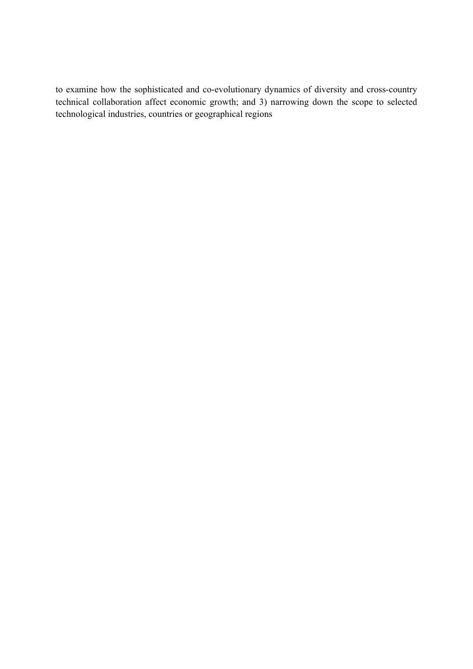to examine how the sophisticated and co-evolutionary dynamics of diversity and cross-country technical collaboration affect economic growth; and 3) narrowing down the scope to selected technological industries, countries or geographical regions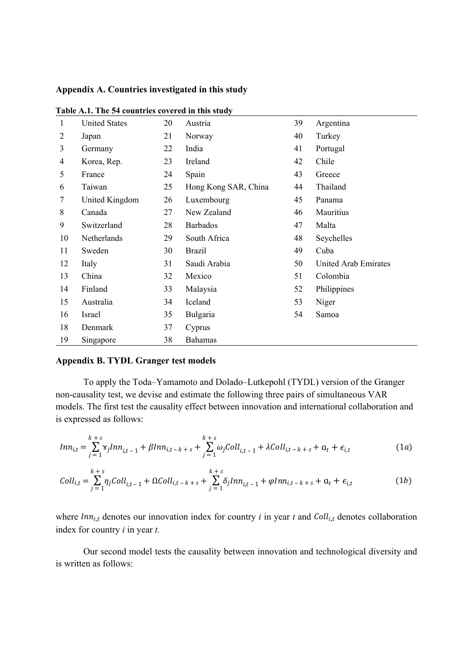# **Appendix A. Countries investigated in this study**

|    |                      |    | Table A.I. The 34 countries covered in this study |    |                      |
|----|----------------------|----|---------------------------------------------------|----|----------------------|
| 1  | <b>United States</b> | 20 | Austria                                           | 39 | Argentina            |
| 2  | Japan                | 21 | Norway                                            | 40 | Turkey               |
| 3  | Germany              | 22 | India                                             | 41 | Portugal             |
| 4  | Korea, Rep.          | 23 | Ireland                                           | 42 | Chile                |
| 5  | France               | 24 | Spain                                             | 43 | Greece               |
| 6  | Taiwan               | 25 | Hong Kong SAR, China                              | 44 | Thailand             |
| 7  | United Kingdom       | 26 | Luxembourg                                        | 45 | Panama               |
| 8  | Canada               | 27 | New Zealand                                       | 46 | Mauritius            |
| 9  | Switzerland          | 28 | <b>Barbados</b>                                   | 47 | Malta                |
| 10 | Netherlands          | 29 | South Africa                                      | 48 | Seychelles           |
| 11 | Sweden               | 30 | <b>Brazil</b>                                     | 49 | Cuba                 |
| 12 | Italy                | 31 | Saudi Arabia                                      | 50 | United Arab Emirates |
| 13 | China                | 32 | Mexico                                            | 51 | Colombia             |
| 14 | Finland              | 33 | Malaysia                                          | 52 | Philippines          |
| 15 | Australia            | 34 | Iceland                                           | 53 | Niger                |
| 16 | Israel               | 35 | Bulgaria                                          | 54 | Samoa                |
| 18 | Denmark              | 37 | Cyprus                                            |    |                      |
| 19 | Singapore            | 38 | <b>Bahamas</b>                                    |    |                      |

**Table A.1. The 54 countries covered in this study**

# **Appendix B. TYDL Granger test models**

To apply the Toda–Yamamoto and Dolado–Lutkepohl (TYDL) version of the Granger non-causality test, we devise and estimate the following three pairs of simultaneous VAR models. The first test the causality effect between innovation and international collaboration and is expressed as follows:

$$
Inn_{i,t} = \sum_{j=1}^{k+s} \gamma_j Inn_{i,t-1} + \beta Inn_{i,t-k+s} + \sum_{j=1}^{k+s} \omega_j Coll_{i,t-1} + \lambda Coll_{i,t-k+s} + \alpha_t + \epsilon_{i,t}
$$
 (1a)

$$
Coll_{i,t} = \sum_{j=1}^{k+s} \eta_j Coll_{i,t-1} + \Omega Coll_{i,t-k+s} + \sum_{j=1}^{k+s} \delta_j Inn_{i,t-1} + \varphi Inn_{i,t-k+s} + a_t + \epsilon_{i,t}
$$
 (1b)

where  $Inn_{i,t}$  denotes our innovation index for country *i* in year *t* and  $Coll_{i,t}$  denotes collaboration index for country *i* in year *t.* 

Our second model tests the causality between innovation and technological diversity and is written as follows: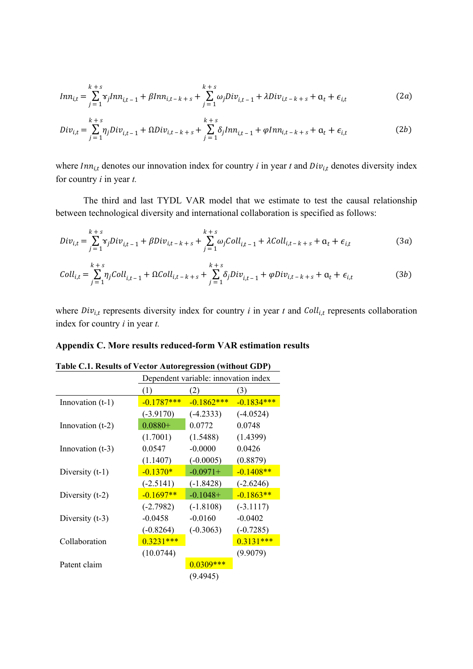$$
Inn_{i,t} = \sum_{j=1}^{k+s} \gamma_j Inn_{i,t-1} + \beta Inn_{i,t-k+s} + \sum_{j=1}^{k+s} \omega_j Div_{i,t-1} + \lambda Div_{i,t-k+s} + \alpha_t + \epsilon_{i,t}
$$
 (2a)

$$
Div_{i,t} = \sum_{j=1}^{k+s} \eta_j Div_{i,t-1} + \Omega Div_{i,t-k+s} + \sum_{j=1}^{k+s} \delta_j Inn_{i,t-1} + \varphi Inn_{i,t-k+s} + \alpha_t + \epsilon_{i,t}
$$
 (2b)

where  $Inn_{i,t}$  denotes our innovation index for country *i* in year *t* and  $Div_{i,t}$  denotes diversity index for country *i* in year *t.* 

The third and last TYDL VAR model that we estimate to test the causal relationship between technological diversity and international collaboration is specified as follows:

$$
Div_{i,t} = \sum_{j=1}^{k+s} \tau_j Div_{i,t-1} + \beta Div_{i,t-k+s} + \sum_{j=1}^{k+s} \omega_j Coll_{i,t-1} + \lambda Coll_{i,t-k+s} + a_t + \epsilon_{i,t}
$$
(3a)

$$
Coll_{i,t} = \sum_{j=1}^{k+s} \eta_j Coll_{i,t-1} + \Omega Coll_{i,t-k+s} + \sum_{j=1}^{k+s} \delta_j Div_{i,t-1} + \varphi Div_{i,t-k+s} + \alpha_t + \epsilon_{i,t}
$$
(3b)

where  $Div_{i,t}$  represents diversity index for country *i* in year *t* and  $Coll_{i,t}$  represents collaboration index for country *i* in year *t.* 

# **Appendix C. More results reduced-form VAR estimation results**

|                    | Dependent variable: innovation index |              |              |  |
|--------------------|--------------------------------------|--------------|--------------|--|
|                    | (1)                                  | (2)          | (3)          |  |
| Innovation $(t-1)$ | $-0.1787***$                         | $-0.1862***$ | $-0.1834***$ |  |
|                    | $(-3.9170)$                          | $(-4.2333)$  | $(-4.0524)$  |  |
| Innovation $(t-2)$ | $0.0880 +$                           | 0.0772       | 0.0748       |  |
|                    | (1.7001)                             | (1.5488)     | (1.4399)     |  |
| Innovation $(t-3)$ | 0.0547                               | $-0.0000$    | 0.0426       |  |
|                    | (1.1407)                             | $(-0.0005)$  | (0.8879)     |  |
| Diversity $(t-1)$  | $-0.1370*$                           | $-0.0971+$   | $-0.1408**$  |  |
|                    | $(-2.5141)$                          | $(-1.8428)$  | $(-2.6246)$  |  |
| Diversity $(t-2)$  | $-0.1697**$                          | $-0.1048+$   | $-0.1863**$  |  |
|                    | $(-2.7982)$                          | $(-1.8108)$  | $(-3.1117)$  |  |
| Diversity $(t-3)$  | $-0.0458$                            | $-0.0160$    | $-0.0402$    |  |
|                    | $(-0.8264)$                          | $(-0.3063)$  | $(-0.7285)$  |  |
| Collaboration      | $0.3231***$                          |              | $0.3131***$  |  |
|                    | (10.0744)                            |              | (9.9079)     |  |
| Patent claim       |                                      | $0.0309***$  |              |  |
|                    |                                      | (9.4945)     |              |  |

|  | Table C.1. Results of Vector Autoregression (without GDP) |  |
|--|-----------------------------------------------------------|--|
|  |                                                           |  |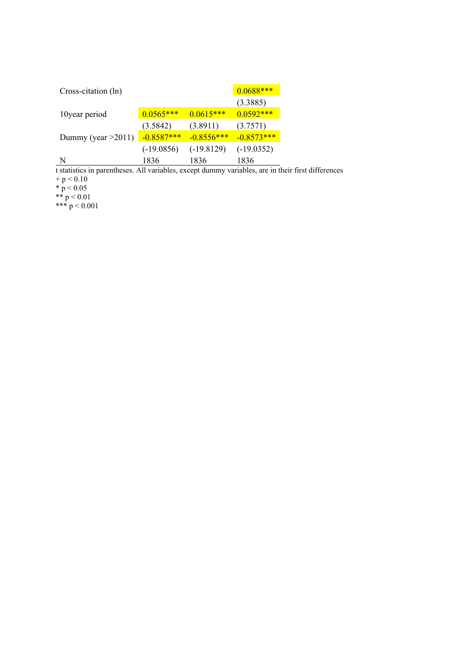| Cross-citation (ln)   | $0.0688***$  |              |              |
|-----------------------|--------------|--------------|--------------|
|                       |              |              | (3.3885)     |
| 10 year period        | $0.0565***$  | $0.0615***$  | $0.0592***$  |
|                       | (3.5842)     | (3.8911)     | (3.7571)     |
| Dummy (year $>2011$ ) | $-0.8587***$ | $-0.8556***$ | $-0.8573***$ |
|                       | $(-19.0856)$ | $(-19.8129)$ | $(-19.0352)$ |
|                       | 1836         | 1836         | 1836         |

t statistics in parentheses. All variables, except dummy variables, are in their first differences  $+ p < 0.10$ 

 $*$  p  $< 0.05$ 

\*\*  $p < 0.01$ 

\*\*\*  $p < 0.001$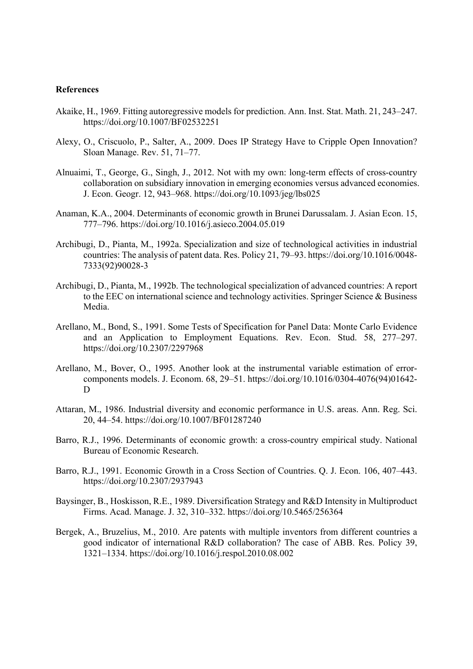# **References**

- Akaike, H., 1969. Fitting autoregressive models for prediction. Ann. Inst. Stat. Math. 21, 243–247. https://doi.org/10.1007/BF02532251
- Alexy, O., Criscuolo, P., Salter, A., 2009. Does IP Strategy Have to Cripple Open Innovation? Sloan Manage. Rev. 51, 71–77.
- Alnuaimi, T., George, G., Singh, J., 2012. Not with my own: long-term effects of cross-country collaboration on subsidiary innovation in emerging economies versus advanced economies. J. Econ. Geogr. 12, 943–968. https://doi.org/10.1093/jeg/lbs025
- Anaman, K.A., 2004. Determinants of economic growth in Brunei Darussalam. J. Asian Econ. 15, 777–796. https://doi.org/10.1016/j.asieco.2004.05.019
- Archibugi, D., Pianta, M., 1992a. Specialization and size of technological activities in industrial countries: The analysis of patent data. Res. Policy 21, 79–93. https://doi.org/10.1016/0048- 7333(92)90028-3
- Archibugi, D., Pianta, M., 1992b. The technological specialization of advanced countries: A report to the EEC on international science and technology activities. Springer Science & Business Media.
- Arellano, M., Bond, S., 1991. Some Tests of Specification for Panel Data: Monte Carlo Evidence and an Application to Employment Equations. Rev. Econ. Stud. 58, 277–297. https://doi.org/10.2307/2297968
- Arellano, M., Bover, O., 1995. Another look at the instrumental variable estimation of errorcomponents models. J. Econom. 68, 29–51. https://doi.org/10.1016/0304-4076(94)01642- D
- Attaran, M., 1986. Industrial diversity and economic performance in U.S. areas. Ann. Reg. Sci. 20, 44–54. https://doi.org/10.1007/BF01287240
- Barro, R.J., 1996. Determinants of economic growth: a cross-country empirical study. National Bureau of Economic Research.
- Barro, R.J., 1991. Economic Growth in a Cross Section of Countries. Q. J. Econ. 106, 407–443. https://doi.org/10.2307/2937943
- Baysinger, B., Hoskisson, R.E., 1989. Diversification Strategy and R&D Intensity in Multiproduct Firms. Acad. Manage. J. 32, 310–332. https://doi.org/10.5465/256364
- Bergek, A., Bruzelius, M., 2010. Are patents with multiple inventors from different countries a good indicator of international R&D collaboration? The case of ABB. Res. Policy 39, 1321–1334. https://doi.org/10.1016/j.respol.2010.08.002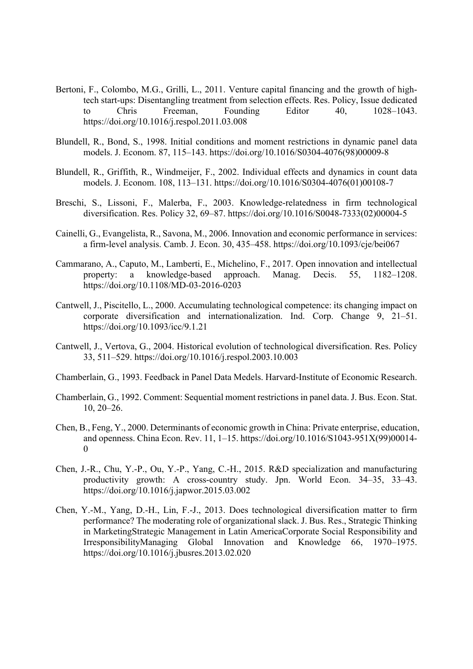- Bertoni, F., Colombo, M.G., Grilli, L., 2011. Venture capital financing and the growth of hightech start-ups: Disentangling treatment from selection effects. Res. Policy, Issue dedicated to Chris Freeman, Founding Editor 40, 1028–1043. https://doi.org/10.1016/j.respol.2011.03.008
- Blundell, R., Bond, S., 1998. Initial conditions and moment restrictions in dynamic panel data models. J. Econom. 87, 115–143. https://doi.org/10.1016/S0304-4076(98)00009-8
- Blundell, R., Griffith, R., Windmeijer, F., 2002. Individual effects and dynamics in count data models. J. Econom. 108, 113–131. https://doi.org/10.1016/S0304-4076(01)00108-7
- Breschi, S., Lissoni, F., Malerba, F., 2003. Knowledge-relatedness in firm technological diversification. Res. Policy 32, 69–87. https://doi.org/10.1016/S0048-7333(02)00004-5
- Cainelli, G., Evangelista, R., Savona, M., 2006. Innovation and economic performance in services: a firm-level analysis. Camb. J. Econ. 30, 435–458. https://doi.org/10.1093/cje/bei067
- Cammarano, A., Caputo, M., Lamberti, E., Michelino, F., 2017. Open innovation and intellectual property: a knowledge-based approach. Manag. Decis. 55, 1182–1208. https://doi.org/10.1108/MD-03-2016-0203
- Cantwell, J., Piscitello, L., 2000. Accumulating technological competence: its changing impact on corporate diversification and internationalization. Ind. Corp. Change 9, 21–51. https://doi.org/10.1093/icc/9.1.21
- Cantwell, J., Vertova, G., 2004. Historical evolution of technological diversification. Res. Policy 33, 511–529. https://doi.org/10.1016/j.respol.2003.10.003
- Chamberlain, G., 1993. Feedback in Panel Data Medels. Harvard-Institute of Economic Research.
- Chamberlain, G., 1992. Comment: Sequential moment restrictions in panel data. J. Bus. Econ. Stat. 10, 20–26.
- Chen, B., Feng, Y., 2000. Determinants of economic growth in China: Private enterprise, education, and openness. China Econ. Rev. 11, 1–15. https://doi.org/10.1016/S1043-951X(99)00014-  $\theta$
- Chen, J.-R., Chu, Y.-P., Ou, Y.-P., Yang, C.-H., 2015. R&D specialization and manufacturing productivity growth: A cross-country study. Jpn. World Econ. 34–35, 33–43. https://doi.org/10.1016/j.japwor.2015.03.002
- Chen, Y.-M., Yang, D.-H., Lin, F.-J., 2013. Does technological diversification matter to firm performance? The moderating role of organizational slack. J. Bus. Res., Strategic Thinking in MarketingStrategic Management in Latin AmericaCorporate Social Responsibility and IrresponsibilityManaging Global Innovation and Knowledge 66, 1970–1975. https://doi.org/10.1016/j.jbusres.2013.02.020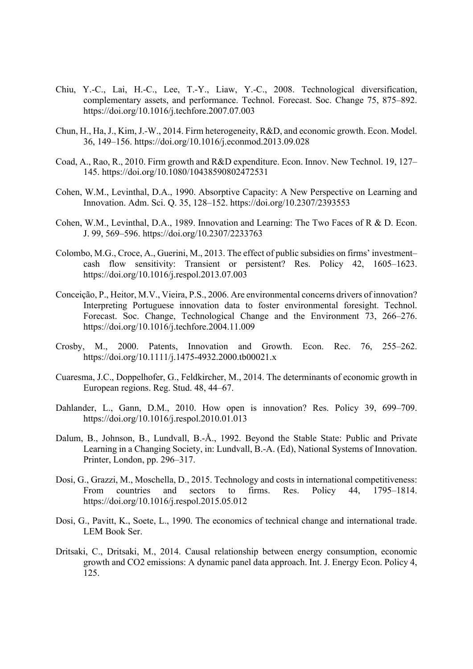- Chiu, Y.-C., Lai, H.-C., Lee, T.-Y., Liaw, Y.-C., 2008. Technological diversification, complementary assets, and performance. Technol. Forecast. Soc. Change 75, 875–892. https://doi.org/10.1016/j.techfore.2007.07.003
- Chun, H., Ha, J., Kim, J.-W., 2014. Firm heterogeneity, R&D, and economic growth. Econ. Model. 36, 149–156. https://doi.org/10.1016/j.econmod.2013.09.028
- Coad, A., Rao, R., 2010. Firm growth and R&D expenditure. Econ. Innov. New Technol. 19, 127– 145. https://doi.org/10.1080/10438590802472531
- Cohen, W.M., Levinthal, D.A., 1990. Absorptive Capacity: A New Perspective on Learning and Innovation. Adm. Sci. Q. 35, 128–152. https://doi.org/10.2307/2393553
- Cohen, W.M., Levinthal, D.A., 1989. Innovation and Learning: The Two Faces of R & D. Econ. J. 99, 569–596. https://doi.org/10.2307/2233763
- Colombo, M.G., Croce, A., Guerini, M., 2013. The effect of public subsidies on firms' investment– cash flow sensitivity: Transient or persistent? Res. Policy 42, 1605–1623. https://doi.org/10.1016/j.respol.2013.07.003
- Conceição, P., Heitor, M.V., Vieira, P.S., 2006. Are environmental concerns drivers of innovation? Interpreting Portuguese innovation data to foster environmental foresight. Technol. Forecast. Soc. Change, Technological Change and the Environment 73, 266–276. https://doi.org/10.1016/j.techfore.2004.11.009
- Crosby, M., 2000. Patents, Innovation and Growth. Econ. Rec. 76, 255–262. https://doi.org/10.1111/j.1475-4932.2000.tb00021.x
- Cuaresma, J.C., Doppelhofer, G., Feldkircher, M., 2014. The determinants of economic growth in European regions. Reg. Stud. 48, 44–67.
- Dahlander, L., Gann, D.M., 2010. How open is innovation? Res. Policy 39, 699–709. https://doi.org/10.1016/j.respol.2010.01.013
- Dalum, B., Johnson, B., Lundvall, B.-Å., 1992. Beyond the Stable State: Public and Private Learning in a Changing Society, in: Lundvall, B.-A. (Ed), National Systems of Innovation. Printer, London, pp. 296–317.
- Dosi, G., Grazzi, M., Moschella, D., 2015. Technology and costs in international competitiveness: From countries and sectors to firms. Res. Policy 44, 1795–1814. https://doi.org/10.1016/j.respol.2015.05.012
- Dosi, G., Pavitt, K., Soete, L., 1990. The economics of technical change and international trade. LEM Book Ser.
- Dritsaki, C., Dritsaki, M., 2014. Causal relationship between energy consumption, economic growth and CO2 emissions: A dynamic panel data approach. Int. J. Energy Econ. Policy 4, 125.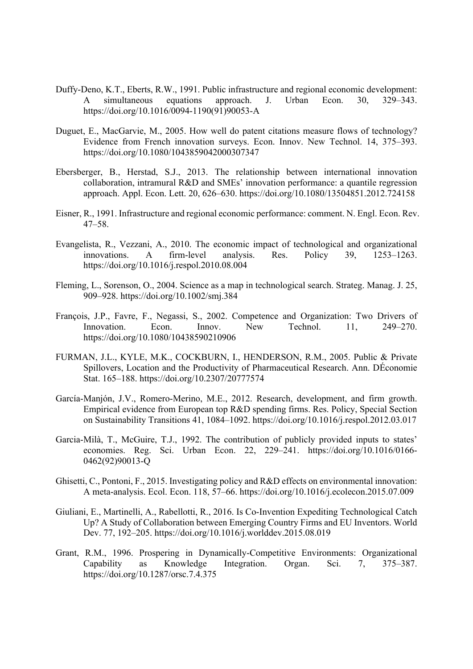- Duffy-Deno, K.T., Eberts, R.W., 1991. Public infrastructure and regional economic development: A simultaneous equations approach. J. Urban Econ. 30, 329–343. https://doi.org/10.1016/0094-1190(91)90053-A
- Duguet, E., MacGarvie, M., 2005. How well do patent citations measure flows of technology? Evidence from French innovation surveys. Econ. Innov. New Technol. 14, 375–393. https://doi.org/10.1080/1043859042000307347
- Ebersberger, B., Herstad, S.J., 2013. The relationship between international innovation collaboration, intramural R&D and SMEs' innovation performance: a quantile regression approach. Appl. Econ. Lett. 20, 626–630. https://doi.org/10.1080/13504851.2012.724158
- Eisner, R., 1991. Infrastructure and regional economic performance: comment. N. Engl. Econ. Rev. 47–58.
- Evangelista, R., Vezzani, A., 2010. The economic impact of technological and organizational innovations. A firm-level analysis. Res. Policy 39, 1253–1263. https://doi.org/10.1016/j.respol.2010.08.004
- Fleming, L., Sorenson, O., 2004. Science as a map in technological search. Strateg. Manag. J. 25, 909–928. https://doi.org/10.1002/smj.384
- François, J.P., Favre, F., Negassi, S., 2002. Competence and Organization: Two Drivers of Innovation. Econ. Innov. New Technol. 11, 249–270. https://doi.org/10.1080/10438590210906
- FURMAN, J.L., KYLE, M.K., COCKBURN, I., HENDERSON, R.M., 2005. Public & Private Spillovers, Location and the Productivity of Pharmaceutical Research. Ann. DÉconomie Stat. 165–188. https://doi.org/10.2307/20777574
- García-Manjón, J.V., Romero-Merino, M.E., 2012. Research, development, and firm growth. Empirical evidence from European top R&D spending firms. Res. Policy, Special Section on Sustainability Transitions 41, 1084–1092. https://doi.org/10.1016/j.respol.2012.03.017
- Garcia-Milà, T., McGuire, T.J., 1992. The contribution of publicly provided inputs to states' economies. Reg. Sci. Urban Econ. 22, 229–241. https://doi.org/10.1016/0166- 0462(92)90013-Q
- Ghisetti, C., Pontoni, F., 2015. Investigating policy and R&D effects on environmental innovation: A meta-analysis. Ecol. Econ. 118, 57–66. https://doi.org/10.1016/j.ecolecon.2015.07.009
- Giuliani, E., Martinelli, A., Rabellotti, R., 2016. Is Co-Invention Expediting Technological Catch Up? A Study of Collaboration between Emerging Country Firms and EU Inventors. World Dev. 77, 192–205. https://doi.org/10.1016/j.worlddev.2015.08.019
- Grant, R.M., 1996. Prospering in Dynamically-Competitive Environments: Organizational Capability as Knowledge Integration. Organ. Sci. 7, 375–387. https://doi.org/10.1287/orsc.7.4.375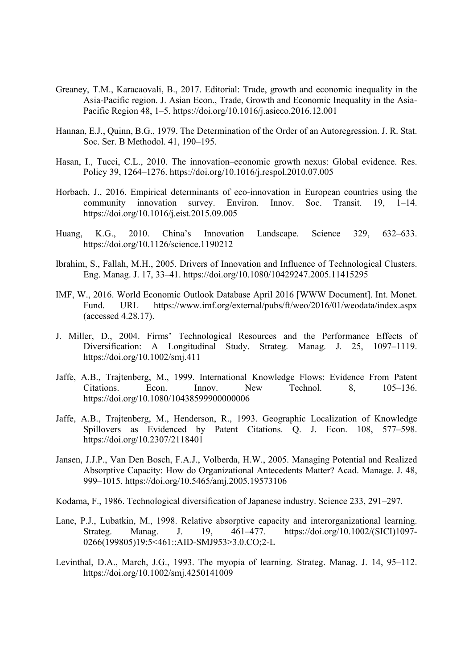- Greaney, T.M., Karacaovali, B., 2017. Editorial: Trade, growth and economic inequality in the Asia-Pacific region. J. Asian Econ., Trade, Growth and Economic Inequality in the Asia-Pacific Region 48, 1–5. https://doi.org/10.1016/j.asieco.2016.12.001
- Hannan, E.J., Quinn, B.G., 1979. The Determination of the Order of an Autoregression. J. R. Stat. Soc. Ser. B Methodol. 41, 190–195.
- Hasan, I., Tucci, C.L., 2010. The innovation–economic growth nexus: Global evidence. Res. Policy 39, 1264–1276. https://doi.org/10.1016/j.respol.2010.07.005
- Horbach, J., 2016. Empirical determinants of eco-innovation in European countries using the community innovation survey. Environ. Innov. Soc. Transit. 19, 1–14. https://doi.org/10.1016/j.eist.2015.09.005
- Huang, K.G., 2010. China's Innovation Landscape. Science 329, 632–633. https://doi.org/10.1126/science.1190212
- Ibrahim, S., Fallah, M.H., 2005. Drivers of Innovation and Influence of Technological Clusters. Eng. Manag. J. 17, 33–41. https://doi.org/10.1080/10429247.2005.11415295
- IMF, W., 2016. World Economic Outlook Database April 2016 [WWW Document]. Int. Monet. Fund. URL https://www.imf.org/external/pubs/ft/weo/2016/01/weodata/index.aspx (accessed 4.28.17).
- J. Miller, D., 2004. Firms' Technological Resources and the Performance Effects of Diversification: A Longitudinal Study. Strateg. Manag. J. 25, 1097–1119. https://doi.org/10.1002/smj.411
- Jaffe, A.B., Trajtenberg, M., 1999. International Knowledge Flows: Evidence From Patent Citations. Econ. Innov. New Technol. 8, 105–136. https://doi.org/10.1080/10438599900000006
- Jaffe, A.B., Trajtenberg, M., Henderson, R., 1993. Geographic Localization of Knowledge Spillovers as Evidenced by Patent Citations. Q. J. Econ. 108, 577–598. https://doi.org/10.2307/2118401
- Jansen, J.J.P., Van Den Bosch, F.A.J., Volberda, H.W., 2005. Managing Potential and Realized Absorptive Capacity: How do Organizational Antecedents Matter? Acad. Manage. J. 48, 999–1015. https://doi.org/10.5465/amj.2005.19573106
- Kodama, F., 1986. Technological diversification of Japanese industry. Science 233, 291–297.
- Lane, P.J., Lubatkin, M., 1998. Relative absorptive capacity and interorganizational learning. Strateg. Manag. J. 19, 461–477. https://doi.org/10.1002/(SICI)1097- 0266(199805)19:5<461::AID-SMJ953>3.0.CO;2-L
- Levinthal, D.A., March, J.G., 1993. The myopia of learning. Strateg. Manag. J. 14, 95–112. https://doi.org/10.1002/smj.4250141009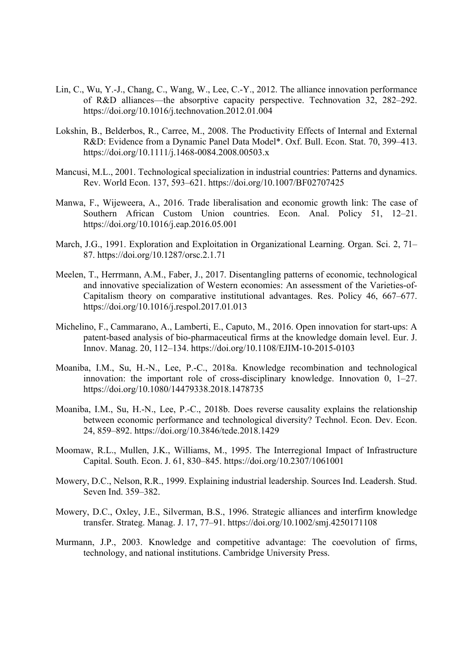- Lin, C., Wu, Y.-J., Chang, C., Wang, W., Lee, C.-Y., 2012. The alliance innovation performance of R&D alliances—the absorptive capacity perspective. Technovation 32, 282–292. https://doi.org/10.1016/j.technovation.2012.01.004
- Lokshin, B., Belderbos, R., Carree, M., 2008. The Productivity Effects of Internal and External R&D: Evidence from a Dynamic Panel Data Model\*. Oxf. Bull. Econ. Stat. 70, 399–413. https://doi.org/10.1111/j.1468-0084.2008.00503.x
- Mancusi, M.L., 2001. Technological specialization in industrial countries: Patterns and dynamics. Rev. World Econ. 137, 593–621. https://doi.org/10.1007/BF02707425
- Manwa, F., Wijeweera, A., 2016. Trade liberalisation and economic growth link: The case of Southern African Custom Union countries. Econ. Anal. Policy 51, 12–21. https://doi.org/10.1016/j.eap.2016.05.001
- March, J.G., 1991. Exploration and Exploitation in Organizational Learning. Organ. Sci. 2, 71– 87. https://doi.org/10.1287/orsc.2.1.71
- Meelen, T., Herrmann, A.M., Faber, J., 2017. Disentangling patterns of economic, technological and innovative specialization of Western economies: An assessment of the Varieties-of-Capitalism theory on comparative institutional advantages. Res. Policy 46, 667–677. https://doi.org/10.1016/j.respol.2017.01.013
- Michelino, F., Cammarano, A., Lamberti, E., Caputo, M., 2016. Open innovation for start-ups: A patent-based analysis of bio-pharmaceutical firms at the knowledge domain level. Eur. J. Innov. Manag. 20, 112–134. https://doi.org/10.1108/EJIM-10-2015-0103
- Moaniba, I.M., Su, H.-N., Lee, P.-C., 2018a. Knowledge recombination and technological innovation: the important role of cross-disciplinary knowledge. Innovation 0, 1–27. https://doi.org/10.1080/14479338.2018.1478735
- Moaniba, I.M., Su, H.-N., Lee, P.-C., 2018b. Does reverse causality explains the relationship between economic performance and technological diversity? Technol. Econ. Dev. Econ. 24, 859–892. https://doi.org/10.3846/tede.2018.1429
- Moomaw, R.L., Mullen, J.K., Williams, M., 1995. The Interregional Impact of Infrastructure Capital. South. Econ. J. 61, 830–845. https://doi.org/10.2307/1061001
- Mowery, D.C., Nelson, R.R., 1999. Explaining industrial leadership. Sources Ind. Leadersh. Stud. Seven Ind. 359–382.
- Mowery, D.C., Oxley, J.E., Silverman, B.S., 1996. Strategic alliances and interfirm knowledge transfer. Strateg. Manag. J. 17, 77–91. https://doi.org/10.1002/smj.4250171108
- Murmann, J.P., 2003. Knowledge and competitive advantage: The coevolution of firms, technology, and national institutions. Cambridge University Press.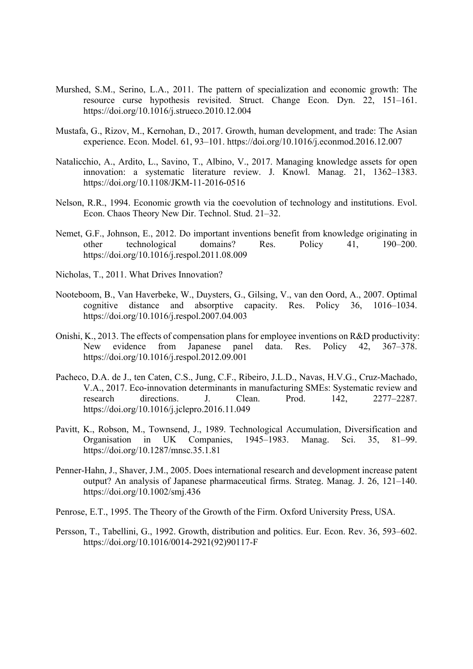- Murshed, S.M., Serino, L.A., 2011. The pattern of specialization and economic growth: The resource curse hypothesis revisited. Struct. Change Econ. Dyn. 22, 151–161. https://doi.org/10.1016/j.strueco.2010.12.004
- Mustafa, G., Rizov, M., Kernohan, D., 2017. Growth, human development, and trade: The Asian experience. Econ. Model. 61, 93–101. https://doi.org/10.1016/j.econmod.2016.12.007
- Natalicchio, A., Ardito, L., Savino, T., Albino, V., 2017. Managing knowledge assets for open innovation: a systematic literature review. J. Knowl. Manag. 21, 1362–1383. https://doi.org/10.1108/JKM-11-2016-0516
- Nelson, R.R., 1994. Economic growth via the coevolution of technology and institutions. Evol. Econ. Chaos Theory New Dir. Technol. Stud. 21–32.
- Nemet, G.F., Johnson, E., 2012. Do important inventions benefit from knowledge originating in other technological domains? Res. Policy 41, 190–200. https://doi.org/10.1016/j.respol.2011.08.009
- Nicholas, T., 2011. What Drives Innovation?
- Nooteboom, B., Van Haverbeke, W., Duysters, G., Gilsing, V., van den Oord, A., 2007. Optimal cognitive distance and absorptive capacity. Res. Policy 36, 1016–1034. https://doi.org/10.1016/j.respol.2007.04.003
- Onishi, K., 2013. The effects of compensation plans for employee inventions on R&D productivity: New evidence from Japanese panel data. Res. Policy 42, 367–378. https://doi.org/10.1016/j.respol.2012.09.001
- Pacheco, D.A. de J., ten Caten, C.S., Jung, C.F., Ribeiro, J.L.D., Navas, H.V.G., Cruz-Machado, V.A., 2017. Eco-innovation determinants in manufacturing SMEs: Systematic review and research directions. J. Clean. Prod. 142, 2277–2287. research directions. J. Clean. Prod. 142, 2277–2287. https://doi.org/10.1016/j.jclepro.2016.11.049
- Pavitt, K., Robson, M., Townsend, J., 1989. Technological Accumulation, Diversification and Organisation in UK Companies, 1945–1983. Manag. Sci. 35, 81–99. https://doi.org/10.1287/mnsc.35.1.81
- Penner-Hahn, J., Shaver, J.M., 2005. Does international research and development increase patent output? An analysis of Japanese pharmaceutical firms. Strateg. Manag. J. 26, 121–140. https://doi.org/10.1002/smj.436
- Penrose, E.T., 1995. The Theory of the Growth of the Firm. Oxford University Press, USA.
- Persson, T., Tabellini, G., 1992. Growth, distribution and politics. Eur. Econ. Rev. 36, 593–602. https://doi.org/10.1016/0014-2921(92)90117-F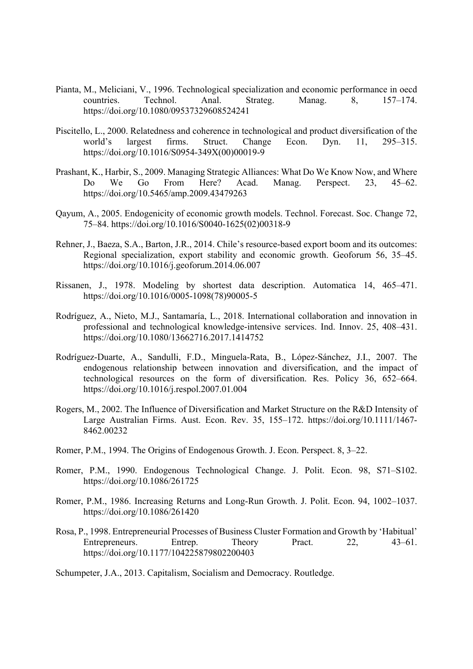- Pianta, M., Meliciani, V., 1996. Technological specialization and economic performance in oecd countries. Technol. Anal. Strateg. Manag. 8, 157–174. https://doi.org/10.1080/09537329608524241
- Piscitello, L., 2000. Relatedness and coherence in technological and product diversification of the world's largest firms. Struct. Change Econ. Dyn. 11, 295–315. https://doi.org/10.1016/S0954-349X(00)00019-9
- Prashant, K., Harbir, S., 2009. Managing Strategic Alliances: What Do We Know Now, and Where Do We Go From Here? Acad. Manag. Perspect. 23, 45–62. https://doi.org/10.5465/amp.2009.43479263
- Qayum, A., 2005. Endogenicity of economic growth models. Technol. Forecast. Soc. Change 72, 75–84. https://doi.org/10.1016/S0040-1625(02)00318-9
- Rehner, J., Baeza, S.A., Barton, J.R., 2014. Chile's resource-based export boom and its outcomes: Regional specialization, export stability and economic growth. Geoforum 56, 35–45. https://doi.org/10.1016/j.geoforum.2014.06.007
- Rissanen, J., 1978. Modeling by shortest data description. Automatica 14, 465–471. https://doi.org/10.1016/0005-1098(78)90005-5
- Rodríguez, A., Nieto, M.J., Santamaría, L., 2018. International collaboration and innovation in professional and technological knowledge-intensive services. Ind. Innov. 25, 408–431. https://doi.org/10.1080/13662716.2017.1414752
- Rodríguez-Duarte, A., Sandulli, F.D., Minguela-Rata, B., López-Sánchez, J.I., 2007. The endogenous relationship between innovation and diversification, and the impact of technological resources on the form of diversification. Res. Policy 36, 652–664. https://doi.org/10.1016/j.respol.2007.01.004
- Rogers, M., 2002. The Influence of Diversification and Market Structure on the R&D Intensity of Large Australian Firms. Aust. Econ. Rev. 35, 155–172. https://doi.org/10.1111/1467- 8462.00232
- Romer, P.M., 1994. The Origins of Endogenous Growth. J. Econ. Perspect. 8, 3–22.
- Romer, P.M., 1990. Endogenous Technological Change. J. Polit. Econ. 98, S71–S102. https://doi.org/10.1086/261725
- Romer, P.M., 1986. Increasing Returns and Long-Run Growth. J. Polit. Econ. 94, 1002–1037. https://doi.org/10.1086/261420
- Rosa, P., 1998. Entrepreneurial Processes of Business Cluster Formation and Growth by 'Habitual' Entrepreneurs. Entrep. Theory Pract. 22, 43–61. https://doi.org/10.1177/104225879802200403
- Schumpeter, J.A., 2013. Capitalism, Socialism and Democracy. Routledge.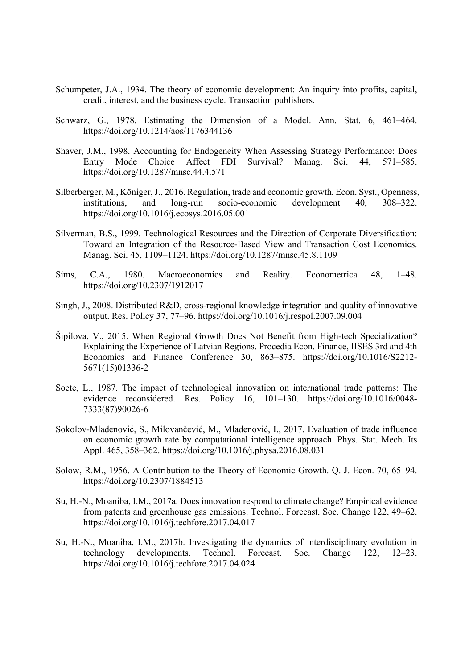- Schumpeter, J.A., 1934. The theory of economic development: An inquiry into profits, capital, credit, interest, and the business cycle. Transaction publishers.
- Schwarz, G., 1978. Estimating the Dimension of a Model. Ann. Stat. 6, 461–464. https://doi.org/10.1214/aos/1176344136
- Shaver, J.M., 1998. Accounting for Endogeneity When Assessing Strategy Performance: Does Entry Mode Choice Affect FDI Survival? Manag. Sci. 44, 571–585. https://doi.org/10.1287/mnsc.44.4.571
- Silberberger, M., Königer, J., 2016. Regulation, trade and economic growth. Econ. Syst., Openness, institutions, and long-run socio-economic development 40, 308–322. https://doi.org/10.1016/j.ecosys.2016.05.001
- Silverman, B.S., 1999. Technological Resources and the Direction of Corporate Diversification: Toward an Integration of the Resource-Based View and Transaction Cost Economics. Manag. Sci. 45, 1109–1124. https://doi.org/10.1287/mnsc.45.8.1109
- Sims, C.A., 1980. Macroeconomics and Reality. Econometrica 48, 1–48. https://doi.org/10.2307/1912017
- Singh, J., 2008. Distributed R&D, cross-regional knowledge integration and quality of innovative output. Res. Policy 37, 77–96. https://doi.org/10.1016/j.respol.2007.09.004
- Šipilova, V., 2015. When Regional Growth Does Not Benefit from High-tech Specialization? Explaining the Experience of Latvian Regions. Procedia Econ. Finance, IISES 3rd and 4th Economics and Finance Conference 30, 863–875. https://doi.org/10.1016/S2212- 5671(15)01336-2
- Soete, L., 1987. The impact of technological innovation on international trade patterns: The evidence reconsidered. Res. Policy 16, 101–130. https://doi.org/10.1016/0048- 7333(87)90026-6
- Sokolov-Mladenović, S., Milovančević, M., Mladenović, I., 2017. Evaluation of trade influence on economic growth rate by computational intelligence approach. Phys. Stat. Mech. Its Appl. 465, 358–362. https://doi.org/10.1016/j.physa.2016.08.031
- Solow, R.M., 1956. A Contribution to the Theory of Economic Growth. Q. J. Econ. 70, 65–94. https://doi.org/10.2307/1884513
- Su, H.-N., Moaniba, I.M., 2017a. Does innovation respond to climate change? Empirical evidence from patents and greenhouse gas emissions. Technol. Forecast. Soc. Change 122, 49–62. https://doi.org/10.1016/j.techfore.2017.04.017
- Su, H.-N., Moaniba, I.M., 2017b. Investigating the dynamics of interdisciplinary evolution in technology developments. Technol. Forecast. Soc. Change 122, 12–23. technology developments. Technol. Forecast. Soc. Change 122, 12–23. https://doi.org/10.1016/j.techfore.2017.04.024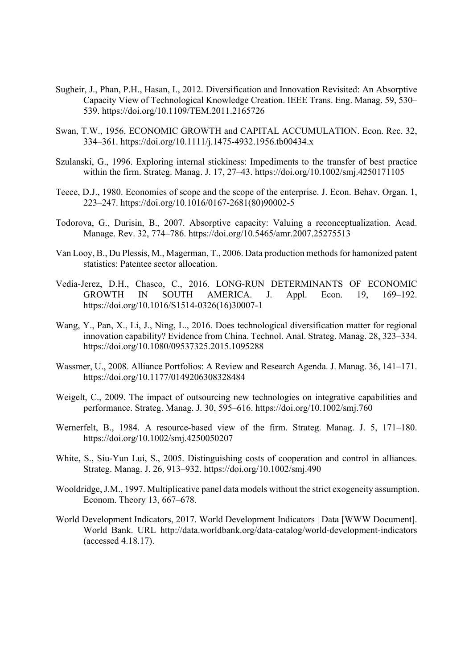- Sugheir, J., Phan, P.H., Hasan, I., 2012. Diversification and Innovation Revisited: An Absorptive Capacity View of Technological Knowledge Creation. IEEE Trans. Eng. Manag. 59, 530– 539. https://doi.org/10.1109/TEM.2011.2165726
- Swan, T.W., 1956. ECONOMIC GROWTH and CAPITAL ACCUMULATION. Econ. Rec. 32, 334–361. https://doi.org/10.1111/j.1475-4932.1956.tb00434.x
- Szulanski, G., 1996. Exploring internal stickiness: Impediments to the transfer of best practice within the firm. Strateg. Manag. J. 17, 27–43. https://doi.org/10.1002/smj.4250171105
- Teece, D.J., 1980. Economies of scope and the scope of the enterprise. J. Econ. Behav. Organ. 1, 223–247. https://doi.org/10.1016/0167-2681(80)90002-5
- Todorova, G., Durisin, B., 2007. Absorptive capacity: Valuing a reconceptualization. Acad. Manage. Rev. 32, 774–786. https://doi.org/10.5465/amr.2007.25275513
- Van Looy, B., Du Plessis, M., Magerman, T., 2006. Data production methods for hamonized patent statistics: Patentee sector allocation.
- Vedia-Jerez, D.H., Chasco, C., 2016. LONG-RUN DETERMINANTS OF ECONOMIC GROWTH IN SOUTH AMERICA. J. Appl. Econ. 19, 169–192. https://doi.org/10.1016/S1514-0326(16)30007-1
- Wang, Y., Pan, X., Li, J., Ning, L., 2016. Does technological diversification matter for regional innovation capability? Evidence from China. Technol. Anal. Strateg. Manag. 28, 323–334. https://doi.org/10.1080/09537325.2015.1095288
- Wassmer, U., 2008. Alliance Portfolios: A Review and Research Agenda. J. Manag. 36, 141–171. https://doi.org/10.1177/0149206308328484
- Weigelt, C., 2009. The impact of outsourcing new technologies on integrative capabilities and performance. Strateg. Manag. J. 30, 595–616. https://doi.org/10.1002/smj.760
- Wernerfelt, B., 1984. A resource-based view of the firm. Strateg. Manag. J. 5, 171–180. https://doi.org/10.1002/smj.4250050207
- White, S., Siu-Yun Lui, S., 2005. Distinguishing costs of cooperation and control in alliances. Strateg. Manag. J. 26, 913–932. https://doi.org/10.1002/smj.490
- Wooldridge, J.M., 1997. Multiplicative panel data models without the strict exogeneity assumption. Econom. Theory 13, 667–678.
- World Development Indicators, 2017. World Development Indicators | Data [WWW Document]. World Bank. URL http://data.worldbank.org/data-catalog/world-development-indicators (accessed 4.18.17).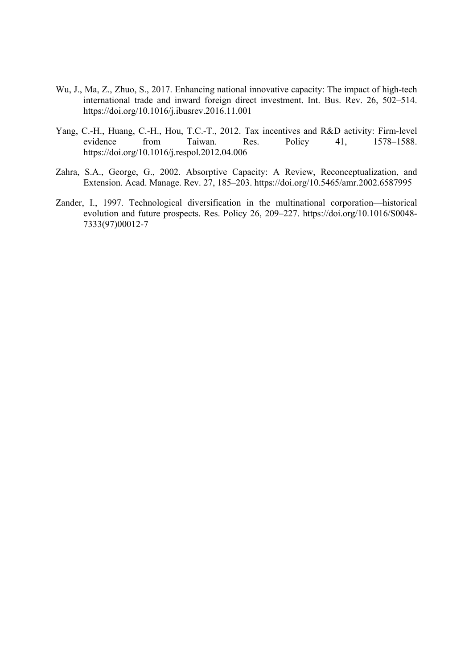- Wu, J., Ma, Z., Zhuo, S., 2017. Enhancing national innovative capacity: The impact of high-tech international trade and inward foreign direct investment. Int. Bus. Rev. 26, 502–514. https://doi.org/10.1016/j.ibusrev.2016.11.001
- Yang, C.-H., Huang, C.-H., Hou, T.C.-T., 2012. Tax incentives and R&D activity: Firm-level evidence from Taiwan. Res. Policy 41, 1578–1588. https://doi.org/10.1016/j.respol.2012.04.006
- Zahra, S.A., George, G., 2002. Absorptive Capacity: A Review, Reconceptualization, and Extension. Acad. Manage. Rev. 27, 185–203. https://doi.org/10.5465/amr.2002.6587995
- Zander, I., 1997. Technological diversification in the multinational corporation—historical evolution and future prospects. Res. Policy 26, 209–227. https://doi.org/10.1016/S0048- 7333(97)00012-7